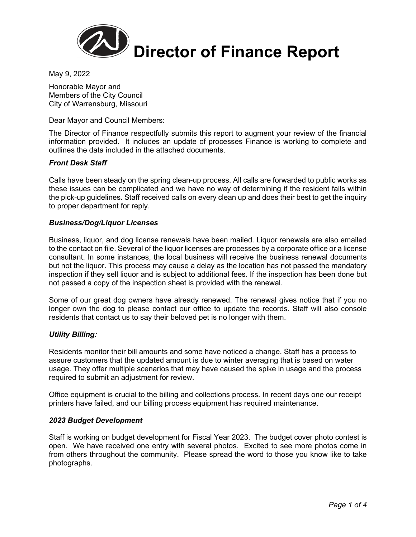

May 9, 2022

Honorable Mayor and Members of the City Council City of Warrensburg, Missouri

Dear Mayor and Council Members:

The Director of Finance respectfully submits this report to augment your review of the financial information provided. It includes an update of processes Finance is working to complete and outlines the data included in the attached documents.

### *Front Desk Staff*

Calls have been steady on the spring clean-up process. All calls are forwarded to public works as these issues can be complicated and we have no way of determining if the resident falls within the pick-up guidelines. Staff received calls on every clean up and does their best to get the inquiry to proper department for reply.

### *Business/Dog/Liquor Licenses*

Business, liquor, and dog license renewals have been mailed. Liquor renewals are also emailed to the contact on file. Several of the liquor licenses are processes by a corporate office or a license consultant. In some instances, the local business will receive the business renewal documents but not the liquor. This process may cause a delay as the location has not passed the mandatory inspection if they sell liquor and is subject to additional fees. If the inspection has been done but not passed a copy of the inspection sheet is provided with the renewal.

Some of our great dog owners have already renewed. The renewal gives notice that if you no longer own the dog to please contact our office to update the records. Staff will also console residents that contact us to say their beloved pet is no longer with them.

### *Utility Billing:*

Residents monitor their bill amounts and some have noticed a change. Staff has a process to assure customers that the updated amount is due to winter averaging that is based on water usage. They offer multiple scenarios that may have caused the spike in usage and the process required to submit an adjustment for review.

Office equipment is crucial to the billing and collections process. In recent days one our receipt printers have failed, and our billing process equipment has required maintenance.

### *2023 Budget Development*

Staff is working on budget development for Fiscal Year 2023. The budget cover photo contest is open. We have received one entry with several photos. Excited to see more photos come in from others throughout the community. Please spread the word to those you know like to take photographs.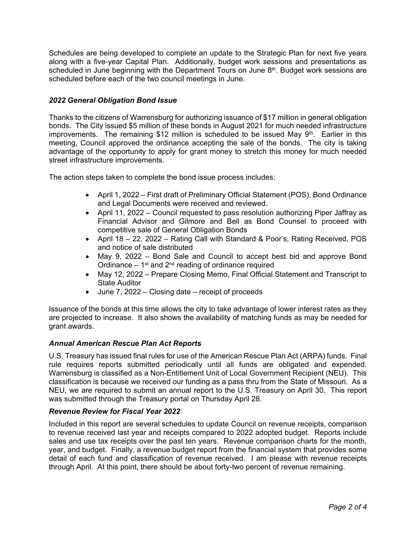Schedules are being developed to complete an update to the Strategic Plan for next five years along with a five-year Capital Plan. Additionally, budget work sessions and presentations as scheduled in June beginning with the Department Tours on June 8<sup>th</sup>. Budget work sessions are scheduled before each of the two council meetings in June.

## *2022 General Obligation Bond Issue*

Thanks to the citizens of Warrensburg for authorizing issuance of \$17 million in general obligation bonds. The City issued \$5 million of these bonds in August 2021 for much needed infrastructure improvements. The remaining \$12 million is scheduled to be issued May  $9<sup>th</sup>$ . Earlier in this meeting, Council approved the ordinance accepting the sale of the bonds. The city is taking advantage of the opportunity to apply for grant money to stretch this money for much needed street infrastructure improvements.

The action steps taken to complete the bond issue process includes:

- April 1, 2022 First draft of Preliminary Official Statement (POS), Bond Ordinance and Legal Documents were received and reviewed.
- April 11, 2022 Council requested to pass resolution authorizing Piper Jaffray as Financial Advisor and Gilmore and Bell as Bond Counsel to proceed with competitive sale of General Obligation Bonds
- April 18 22, 2022 Rating Call with Standard & Poor's, Rating Received, POS and notice of sale distributed
- May 9, 2022 Bond Sale and Council to accept best bid and approve Bond Ordinance  $-1$ <sup>st</sup> and  $2<sup>nd</sup>$  reading of ordinance required
- May 12, 2022 Prepare Closing Memo, Final Official Statement and Transcript to State Auditor
- June 7, 2022 Closing date receipt of proceeds

Issuance of the bonds at this time allows the city to take advantage of lower interest rates as they are projected to increase. It also shows the availability of matching funds as may be needed for grant awards.

### *Annual American Rescue Plan Act Reports*

U.S. Treasury has issued final rules for use of the American Rescue Plan Act (ARPA) funds. Final rule requires reports submitted periodically until all funds are obligated and expended. Warrensburg is classified as a Non-Entitlement Unit of Local Government Recipient (NEU). This classification is because we received our funding as a pass thru from the State of Missouri. As a NEU, we are required to submit an annual report to the U.S. Treasury on April 30. This report was submitted through the Treasury portal on Thursday April 28.

### *Revenue Review for Fiscal Year 2022*

Included in this report are several schedules to update Council on revenue receipts, comparison to revenue received last year and receipts compared to 2022 adopted budget. Reports include sales and use tax receipts over the past ten years. Revenue comparison charts for the month, year, and budget. Finally, a revenue budget report from the financial system that provides some detail of each fund and classification of revenue received. I am please with revenue receipts through April. At this point, there should be about forty-two percent of revenue remaining.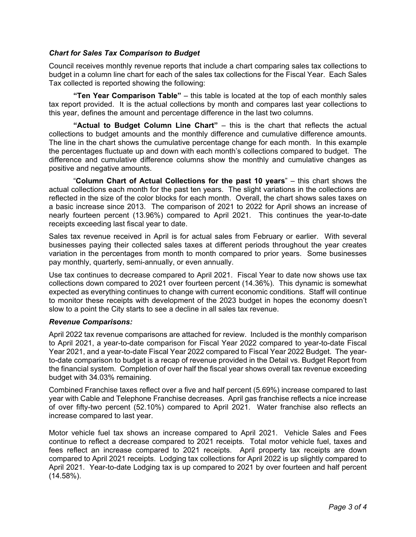### *Chart for Sales Tax Comparison to Budget*

Council receives monthly revenue reports that include a chart comparing sales tax collections to budget in a column line chart for each of the sales tax collections for the Fiscal Year. Each Sales Tax collected is reported showing the following:

**"Ten Year Comparison Table"** – this table is located at the top of each monthly sales tax report provided. It is the actual collections by month and compares last year collections to this year, defines the amount and percentage difference in the last two columns.

**"Actual to Budget Column Line Chart"** – this is the chart that reflects the actual collections to budget amounts and the monthly difference and cumulative difference amounts. The line in the chart shows the cumulative percentage change for each month. In this example the percentages fluctuate up and down with each month's collections compared to budget. The difference and cumulative difference columns show the monthly and cumulative changes as positive and negative amounts.

 "**Column Chart of Actual Collections for the past 10 years**" – this chart shows the actual collections each month for the past ten years. The slight variations in the collections are reflected in the size of the color blocks for each month. Overall, the chart shows sales taxes on a basic increase since 2013. The comparison of 2021 to 2022 for April shows an increase of nearly fourteen percent (13.96%) compared to April 2021. This continues the year-to-date receipts exceeding last fiscal year to date.

Sales tax revenue received in April is for actual sales from February or earlier. With several businesses paying their collected sales taxes at different periods throughout the year creates variation in the percentages from month to month compared to prior years. Some businesses pay monthly, quarterly, semi-annually, or even annually.

Use tax continues to decrease compared to April 2021. Fiscal Year to date now shows use tax collections down compared to 2021 over fourteen percent (14.36%). This dynamic is somewhat expected as everything continues to change with current economic conditions. Staff will continue to monitor these receipts with development of the 2023 budget in hopes the economy doesn't slow to a point the City starts to see a decline in all sales tax revenue.

### *Revenue Comparisons:*

April 2022 tax revenue comparisons are attached for review. Included is the monthly comparison to April 2021, a year-to-date comparison for Fiscal Year 2022 compared to year-to-date Fiscal Year 2021, and a year-to-date Fiscal Year 2022 compared to Fiscal Year 2022 Budget. The yearto-date comparison to budget is a recap of revenue provided in the Detail vs. Budget Report from the financial system. Completion of over half the fiscal year shows overall tax revenue exceeding budget with 34.03% remaining.

Combined Franchise taxes reflect over a five and half percent (5.69%) increase compared to last year with Cable and Telephone Franchise decreases. April gas franchise reflects a nice increase of over fifty-two percent (52.10%) compared to April 2021. Water franchise also reflects an increase compared to last year.

Motor vehicle fuel tax shows an increase compared to April 2021. Vehicle Sales and Fees continue to reflect a decrease compared to 2021 receipts. Total motor vehicle fuel, taxes and fees reflect an increase compared to 2021 receipts. April property tax receipts are down compared to April 2021 receipts. Lodging tax collections for April 2022 is up slightly compared to April 2021. Year-to-date Lodging tax is up compared to 2021 by over fourteen and half percent (14.58%).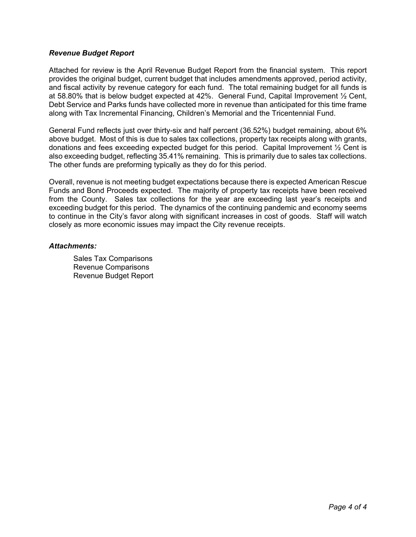### *Revenue Budget Report*

Attached for review is the April Revenue Budget Report from the financial system. This report provides the original budget, current budget that includes amendments approved, period activity, and fiscal activity by revenue category for each fund. The total remaining budget for all funds is at 58.80% that is below budget expected at 42%. General Fund, Capital Improvement ½ Cent, Debt Service and Parks funds have collected more in revenue than anticipated for this time frame along with Tax Incremental Financing, Children's Memorial and the Tricentennial Fund.

General Fund reflects just over thirty-six and half percent (36.52%) budget remaining, about 6% above budget. Most of this is due to sales tax collections, property tax receipts along with grants, donations and fees exceeding expected budget for this period. Capital Improvement ½ Cent is also exceeding budget, reflecting 35.41% remaining. This is primarily due to sales tax collections. The other funds are preforming typically as they do for this period.

Overall, revenue is not meeting budget expectations because there is expected American Rescue Funds and Bond Proceeds expected. The majority of property tax receipts have been received from the County. Sales tax collections for the year are exceeding last year's receipts and exceeding budget for this period. The dynamics of the continuing pandemic and economy seems to continue in the City's favor along with significant increases in cost of goods. Staff will watch closely as more economic issues may impact the City revenue receipts.

### *Attachments:*

Sales Tax Comparisons Revenue Comparisons Revenue Budget Report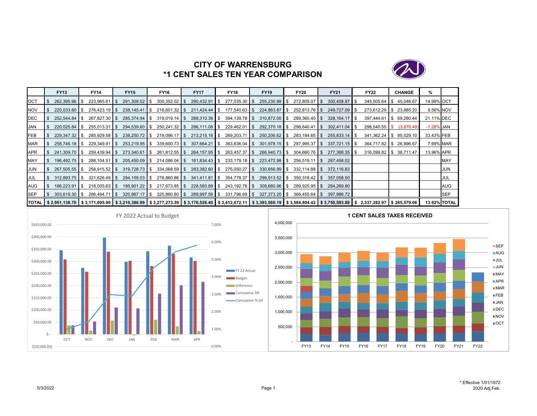

# **CITY OF WARRENSBURG\*1 CENT SALES TEN YEAR COMPARISON**

|            | <b>FY13</b>     | <b>FY14</b>                                                                                                                                                              | <b>FY15</b>     | FY16            | <b>FY17</b>      |                | <b>FY18</b>     |     | <b>FY19</b>            | <b>FY20</b>          | <b>FY21</b>     | <b>FY22</b>     |     | <b>CHANGE</b> | %             |                     |
|------------|-----------------|--------------------------------------------------------------------------------------------------------------------------------------------------------------------------|-----------------|-----------------|------------------|----------------|-----------------|-----|------------------------|----------------------|-----------------|-----------------|-----|---------------|---------------|---------------------|
| <b>OCT</b> | 262.395.96 \$   | $223,965.81$ \$                                                                                                                                                          | 291,309.52 \$   | $300,352.02$ \$ | 290,432.91       | $\blacksquare$ | $277,035.30$ \$ |     | $255,230.99$ \$        | 272,805.07 \$        | 300,458.97      | $345,505.64$ \$ |     | 45,046.67     | 14.99% OCT    |                     |
| <b>NOV</b> | 220,033.60 \$   | $276,423.19$ \$                                                                                                                                                          | $238,145.41$ \$ | $216,601.32$ \$ | $211,424.44$ \\$ |                | 177,540.63 \$   |     | $224,863.87$ \$        | 252,813.76 \$        | 249,727.09 \$   | $273,612.29$ \$ |     | 23,885.20     | 9.56% NOV     |                     |
| DEC        | $252.544.84$ \$ | 267,827.30 \$                                                                                                                                                            | 285,374.94 \$   | $319,019.14$ \$ | $288,310.36$ \$  |                | $394,139.78$ \$ |     | $310,872.00$ \$        | $289,360.40$ \$      | 328,164.17      | 397.444.61      | IS. | 69,280.44     | 21.11% DEC    |                     |
| <b>JAN</b> |                 | $255.013.31$ S                                                                                                                                                           | 294,539.60 \$   | $250,241.32$ \$ | $296,111.08$ \$  |                | 229,462.01      | IS. | $292,370.18$ \$        | $298.640.41$ $\sqrt$ | $302.411.04$ S  | $298,540.55$ \$ |     | (3,870.49)    | $-1.28\%$ JAN |                     |
| FEB        | 229,347.32 \$   | $285,929.58$ \$                                                                                                                                                          | 238,250.72 \$   | $219,096.17$ \$ | $213,215.16$ \$  |                | $269,203.71$ \$ |     | $250,206.62$ \$        | $283,194.65$ \$      | $255,833.14$ \$ | $341,362.24$ \$ |     | 85,529.10     | 33.43% FEB    |                     |
| MAR        | $258,746.18$ \$ | $229,349.91$ \$                                                                                                                                                          | 253,219.95 \$   | $339,600.73$ \$ | $307,664.21$ \$  |                | $363,836.04$ \$ |     | $301,978.15$ $\bullet$ | $287,995.37$ \$      | $337,721.15$ \$ | 364,717.82 \$   |     | 26,996.67     | 7.99% MAR     |                     |
| <b>APR</b> | 241,309.70 \$   | $259.439.94$ S                                                                                                                                                           | $273.340.61$ S  | $261,812.55$ \$ | 264,157.95 \$    |                | 263,457.37 \$   |     | 266,940.73 \$          | $304.660.76$ \$      | 277.388.35 \$   | $316,099.82$ \$ |     | 38,711.47     | 13.96% APR    |                     |
| MAY        | 196,492.75 \$   | $288,104.51$ \$                                                                                                                                                          | 205,450.09 \$   | $214,086.04$ \$ |                  |                | $233,179.18$ \$ |     | $223,472.98$ \$        | $256,519.11$ \$      | 287,458.02      |                 |     |               |               | <b>MAY</b>          |
| <b>JUN</b> | 267,505.55 \$   | $258,915.52$ \$                                                                                                                                                          | $319.728.73$ \$ | $334,068.59$ \$ | $283,382.60$ \$  |                | $275,050.27$ \$ |     | $330,656.99$ \$        | $332.114.88$ S       | 372.116.83      |                 |     |               |               | JUN                 |
| JUL        | $312.893.75$ S  | $321,626.49$ \$                                                                                                                                                          | 294,159.03 \$   | 278,860.86 \$   | 341,411.81       | IS.            | $354,778.37$ \$ |     | $299,913.52$ \$        | $350,318.42$ \$      | 357,058.50      |                 |     |               |               | JUL                 |
| <b>AUG</b> | 186,223.91 \$   | $218,005.63$ \$                                                                                                                                                          | 195,901.22 \$   | $217,673.85$ \$ | $228,583.89$ \$  |                | 243,192.76 \$   |     | $309,680.96$ \$        | 289,925.95 \$        | 284.269.90      |                 |     |               |               | <b>AUG</b>          |
| <b>SEP</b> | $303,619.30$ \$ | $286.494.71$ S                                                                                                                                                           | $320,967.17$ \$ | $325,860.80$ \$ | 289,997.56 \$    |                | $331,796.69$ \$ |     | $327,373.20$ \$        | $366,455.64$ \$      | 397.986.72      |                 |     |               |               | <b>SEP</b>          |
|            |                 | TOTAL \$2,951,138.70 \$3,171,095.90 \$3,210,386.99 \$3,277,273.39 \$3,176,526.40 \$3,412,672.11 \$3,393,560.19 \$3,584,804.42 \$3,750,593.88 \$2,337,282.97 \$285,579.06 |                 |                 |                  |                |                 |     |                        |                      |                 |                 |     |               |               | <b>13.92% TOTAL</b> |



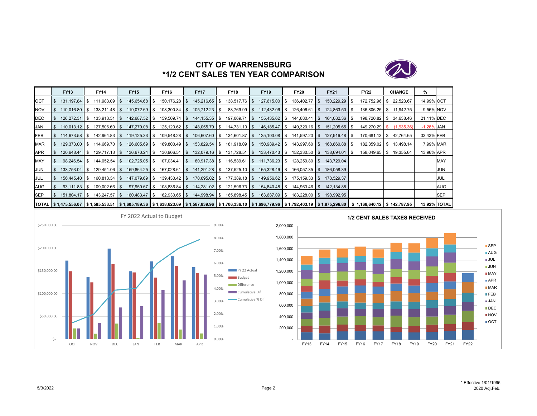

# **CITY OF WARRENSBURG\*1/2 CENT SALES TEN YEAR COMPARISON**

|            | <b>FY13</b>                      | <b>FY14</b>                                                                                                                                                              | <b>FY15</b>     | <b>FY16</b>     | <b>FY17</b>                 | <b>FY18</b>                 | <b>FY19</b>   | <b>FY20</b>                                                                 | <b>FY21</b>     | <b>FY22</b>             | <b>CHANGE</b> | %             |              |
|------------|----------------------------------|--------------------------------------------------------------------------------------------------------------------------------------------------------------------------|-----------------|-----------------|-----------------------------|-----------------------------|---------------|-----------------------------------------------------------------------------|-----------------|-------------------------|---------------|---------------|--------------|
| OCT        | 131.197.84 S                     | $111,983.09$ \ \$                                                                                                                                                        | 145,654.68 \$   | 150,176.28 \$   | 145,216.65 \$               |                             |               | 138,517.76 \$ 127,615.00 \$ 136,402.77 \$                                   | 150,229.29 \$   | 172,752.96 \$           | 22,523.67     | 14.99% OCT    |              |
| <b>NOV</b> | 110.016.80 \$                    | $138,211.48$ \$                                                                                                                                                          | 119,072.69 \$   | 108,300.84 \$   | 105,712.23 \$               |                             |               | 88,769.99 \$112,432.06 \$126,406.61 \$                                      | 124,863.50 \$   | 136,806.25 \$ 11,942.75 |               |               | 9.56% NOV    |
| <b>DEC</b> | 126,272.31 \$                    | 133.913.51 S                                                                                                                                                             | 142,687.52 \$   | 159,509.74 \$   | 144,155.35 \$               |                             |               | 197,069.71 \$ 155,435.62 \$ 144,680.41 \$                                   | 164,082.36 \$   | 198,720.82 \$ 34,638.46 |               | 21.11% DEC    |              |
| JAN        | $110,013.12$ \$                  | $127,506.60$ \$                                                                                                                                                          | 147,270.08 \$   | 125,120.62 \$   |                             | 148,055.79 \$ 114,731.10 \$ |               | 146,185.47 \$149,320.16 \$                                                  | 151,205.65 \$   | $149,270.29$ \$         | (1,935.36)    | $-1.28\%$ JAN |              |
| FEB        | 114,673.58 \$                    | 142,964.83 \$                                                                                                                                                            |                 | 109,548.28 \$   |                             | 106,607.60 \$ 134,601.87 \$ |               | 125,103.08 \$141,597.20 \$                                                  | 127,916.48   \$ | 170,681.13 \$ 42,764.65 |               | 33.43% FEB    |              |
| <b>MAR</b> | $129.373.00$ \ \ \$              | 114,669.70 \$                                                                                                                                                            | 126,605.69 \$   | 169,800.49 \$   | 153,829.54 \$               | $181,918.09$ \$             |               | 150,989.42 \$143,997.60 \$                                                  | 168,860.88 \$   | 182,359.02 \$           | 13,498.14     |               | 7.99% MAR    |
| <b>APR</b> | $120.648.44$ \ \ \$              | 129.717.13 S                                                                                                                                                             | $136,670.24$ \$ | $130,906.51$ \$ | 132,079.16 \$               | $131,728.51$ \$             | 133,470.43 \$ | $152,330.50$ \$                                                             | 138,694.01 \$   | $158,049.65$ \$         | 19,355.64     | 13.96% APR    |              |
| MAY        | $98,246.54$ \$                   | $144,052.54$ \$                                                                                                                                                          | $102,725.05$ \$ | $107,034.41$ \$ |                             |                             |               | 80,917.38 \$ 116,589.61 \$ 111,736.23 \$ 128,259.80 \$ 143,729.04           |                 |                         |               |               | <b>MAY</b>   |
| JUN        | $133,753.04$ \$                  | $129,451.06$ \$                                                                                                                                                          | 159,864.25 \$   | 167,028.61 \$   | 141,291.28 \$               | $137,525.10$ \$             | 165,328.46 \$ | $166,057.35$ \$                                                             | 186,058.39      |                         |               |               | JUN          |
| <b>JUL</b> | $156.445.40$ S                   | 160.813.34 S                                                                                                                                                             | 147.079.69 \$   | 139,430.42 \$   | 170,695.02 \$               | 177,389.18 \$               |               | 149,956.62 \$ 175,159.33 \$                                                 | 178.529.37      |                         |               |               | JUL          |
| AUG        | $93,111.83$ $\sqrt{\phantom{1}}$ | $109,002.66$ \ \ \$                                                                                                                                                      | 97,950.67 \$    |                 |                             |                             |               | 108,836.84 \$114,281.02 \$121,596.73 \$154,840.48 \$144,963.46 \$142,134.88 |                 |                         |               |               | AUG          |
| <b>SEP</b> | 151,804.17 \$                    | 143,247.57 \$                                                                                                                                                            | 160,483.47 \$   |                 | 162,930.65 \$ 144,998.94 \$ | $165,898.45$ \$             | 163,687.09 \$ | 183,228.00 \$                                                               | 198,992.95      |                         |               |               | <b>SEP</b>   |
|            |                                  | TOTAL \$1,475,556.07 \$1,585,533.51 \$1,605,189.36 \$1,638,623.69 \$1,587,839.96 \$1,706,336.10 \$1,696,779.96 \$1,792,403.19 \$1,875,296.80 \$1,168,640.12 \$142,787.95 |                 |                 |                             |                             |               |                                                                             |                 |                         |               |               | 13.92% TOTAL |



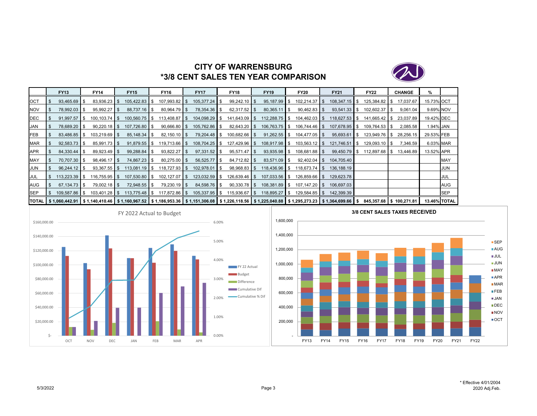

# **CITY OF WARRENSBURG\*3/8 CENT SALES TEN YEAR COMPARISON**

|            | <b>FY13</b>                      | FY14                                                                                                                                           | <b>FY15</b>     | <b>FY16</b>      | <b>FY17</b>               | <b>FY18</b>       | <b>FY19</b>     |                | <b>FY20</b>      | <b>FY21</b>     | <b>FY22</b>             | <b>CHANGE</b> | %          |                     |
|------------|----------------------------------|------------------------------------------------------------------------------------------------------------------------------------------------|-----------------|------------------|---------------------------|-------------------|-----------------|----------------|------------------|-----------------|-------------------------|---------------|------------|---------------------|
| OCT        | 93,465.69 \$                     | $83,936.23$ \$                                                                                                                                 | 105,422.83 \$   | $107,993.82$ \$  | $105,377.24$ \$           | $99,242.10$ \$    | $95,187.99$ \$  |                | $102,214.37$ \$  | $108,347.15$ \$ | 125,384.82 \$           | 17,037.67     | 15.73% OCT |                     |
| <b>NOV</b> | 78,992.03 \$                     | $95,992.27$ \$                                                                                                                                 | 88,737.16 \$    | $80,964.79$ \$   | 78,354.36 \$              | $62,317.52$ \$    | 80,365.11       | $\blacksquare$ | $90,462.83$ \$   | $93,541.33$ \$  | $102,602.37$ \$         | 9,061.04      | 9.69% NOV  |                     |
| DEC        | $91.997.57$ $\bullet$ \$         | $100.103.74$ S                                                                                                                                 | 100.560.75 \$   | $113.408.87$ S   | 104.098.29 \$             | $141.643.09$ \ \$ | $112.288.75$ S  |                | $104.462.03$ S   | $118.627.53$ S  | 141.665.42 S            | 23.037.89     | 19.42% DEC |                     |
| <b>JAN</b> | 78,689.20 \$                     | $90,220.18$ \$                                                                                                                                 | 107,726.80 \$   | $90,666.80$ \$   | 105,762.86 \$             | $82,643.20$ \$    | $106,763.75$ \$ |                | $106,744.46$ \$  | 107,678.95 \$   | 109,764.53 \$           | 2,085.58      | 1.94% JAN  |                     |
| FEB        | $83,486.85$ \$                   | $103,219.69$ \$                                                                                                                                |                 | $82,150.10$ \$   | 79,204.48 \$              | $100,682.66$ \$   | $91,262.55$ \$  |                | $104,477.05$ \$  | $95,693.61$ \$  | 123,949.76 \$           | 28,256.15     | 29.53% FEB |                     |
| <b>MAR</b> | $92,583.73$ \$                   | $85,991.73$ \$                                                                                                                                 | $91,879.55$ \$  | $119,713.66$ \$  | $108,704.25$ \$           | $127,429.96$ \$   | 108,917.98 \$   |                | $103,563.12$ \$  | $121,746.51$ \$ | 129,093.10 \$           | 7,346.59      | 6.03% MAR  |                     |
| <b>APR</b> |                                  | $89,923.49$ \$                                                                                                                                 | 99,288.84 \$    | $93,822.27$ \$   |                           | $95,571.47$ \$    | $93,935.98$ \$  |                | $108,681.88$ \$  | $99,450.79$ \$  | 112,897.68 \$           | 13,446.89     | 13.52% APR |                     |
| MAY        | 70,707.30 \$                     | $98,496.17$ \$                                                                                                                                 | 74,867.23 \$    | $80,275.00$ \$   | $56,525.77$ $\frac{8}{3}$ | $84,712.82$ \$    | 83,571.09 \$    |                | $92,402.04$ \$   | 104,705.40      |                         |               |            | <b>MAY</b>          |
| <b>JUN</b> | $96.244.12$ \$                   | $93.367.55$ S                                                                                                                                  | $113,081.19$ \$ | $118,727.93$ \$  | $102,978.01$ \$           | $98,968.83$ \$    | 118,436.96 \$   |                | $118.673.74$ S   | 136.188.19      |                         |               |            | <b>JUN</b>          |
| <b>JUL</b> | $113,223.39$ \$                  | $116,755.95$ \$                                                                                                                                | 107,530.80 \$   | $102, 127.07$ \$ | 123,032.59 \$             | $126,639.46$ \$   | $107,033.56$ \$ |                | $126,859.66$ \$  | 129,623.78      |                         |               |            | JUL                 |
| <b>AUG</b> | $67.134.73$ $\text{\textdegree}$ | $79,002.18$ \$                                                                                                                                 | 72,948.55 \$    | $79,230.19$ \$   | 84,598.76 \$              | $90,330.78$ \$    | $108,381.89$ \$ |                | $107, 147.20$ \$ | 106.697.03      |                         |               |            | AUG                 |
| <b>SEP</b> | 109,587.86 \$                    |                                                                                                                                                | 113,775.48 \$   | 117,872.86 \$    | $105,337.95$ \$           | $115,936.67$ \$   | 118,895.27 \$   |                | $129,584.85$ \$  | 142,399.39      |                         |               |            | <b>SEP</b>          |
|            |                                  | TOTAL S 1,060,442.91 S 1,140,410.46 S 1,160,967.52 S 1,186,953.36 S 1,151,306.08 S 1,226,118.56 S 1,225,040.88 S 1,295,273.23 S 1,364,699.66 S |                 |                  |                           |                   |                 |                |                  |                 | 845.357.68 \$100.271.81 |               |            | <b>13.46% TOTAL</b> |



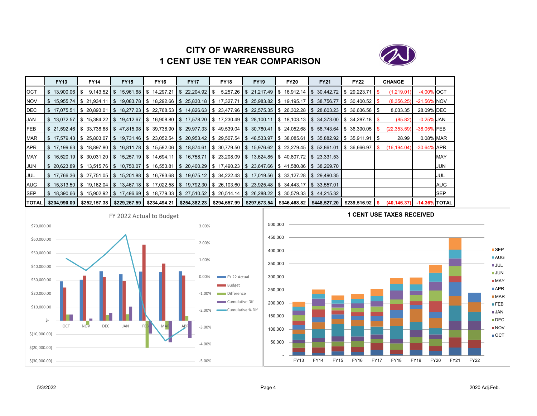# **CITY OF WARRENSBURG1 CENT USE TEN YEAR COMPARISON**



|              | <b>FY13</b>                                                                                                             | <b>FY14</b> | <b>FY15</b>                                           | <b>FY16</b> | <b>FY17</b> | <b>FY18</b> | <b>FY19</b> | <b>FY20</b> | <b>FY21</b>                                                                                                                               | <b>FY22</b> | <b>CHANGE</b> |                  |            |
|--------------|-------------------------------------------------------------------------------------------------------------------------|-------------|-------------------------------------------------------|-------------|-------------|-------------|-------------|-------------|-------------------------------------------------------------------------------------------------------------------------------------------|-------------|---------------|------------------|------------|
| <b>OCT</b>   | $$13.900.06$ S                                                                                                          |             | $9,143.52$ \$ 15,961.68 \$ 14,297.21 \$ 22,204.92 \$  |             |             |             |             |             | $5,257.26$ \$ 21,217.49 \$ 16,912.14 \$ 30,442.72 \$ 29,223.71                                                                            |             | (1,219.01)    | -4.00% OCT       |            |
| <b>NOV</b>   | S 15.955.74 S 21.934.11                                                                                                 |             | \$19,083.78   \$18,292.66   \$25,830.18   \$17,327.71 |             |             |             |             |             | \$25,983.82  \$19,195.17  \$38,756.77  \$30,400.52  \$                                                                                    |             | (8,356.25)    | -21.56% NOV      |            |
| DEC          |                                                                                                                         |             |                                                       |             |             |             |             |             | \$17,075.51  \$20,893.01  \$18,277.23  \$22,768.53  \$14,826.63  \$23,477.96  \$22,575.35  \$26,302.28  \$28,603.23  \$36,636.58  \$      |             | 8,033.35      | 28.09% DEC       |            |
| <b>JAN</b>   |                                                                                                                         |             |                                                       |             |             |             |             |             | \$ 13,072.57 \$ 15,384.22 \$ 19,412.67 \$ 16,908.80 \$ 17,578.20 \$ 17,230.49 \$ 28,100.11 \$ 18,103.13 \$ 34,373.00 \$ 34,287.18 \$      |             | (85.82)       | $-0.25\%$ JAN    |            |
| <b>FEB</b>   |                                                                                                                         |             |                                                       |             |             |             |             |             | \$21,592.46 \$33,738.68 \$47,815.98 \$39,738.90 \$29,977.33 \$49,539.04 \$30,780.41 \$24,052.68 \$58,743.64 \$36,390.05 \$                |             | (22, 353.59)  | -38.05% FEB      |            |
| <b>MAR</b>   |                                                                                                                         |             |                                                       |             |             |             |             |             | \$17,579.43  \$25,803.07  \$19,731.46  \$23,052.54  \$20,953.42  \$29,507.54  \$48,533.97  \$38,085.61  \$35,882.92  \$35,911.91  \$      |             | 28.99         | 0.08% MAR        |            |
| APR          |                                                                                                                         |             |                                                       |             |             |             |             |             | \$17,199.63 \$18,897.80 \$16,811.78 \$15,592.06 \$18,874.61 \$30,779.50 \$15,976.62 \$23,279.45 \$52,861.01 \$36,666.97 \$                |             | (16, 194.04)  | $-30.64\%$ APR   |            |
| <b>MAY</b>   |                                                                                                                         |             |                                                       |             |             |             |             |             | \$16,520.19 \$30,031.20 \$15,257.19 \$14,694.11 \$16,758.71 \$23,208.09 \$13,624.85 \$40,807.72 \$23,331.53                               |             |               |                  | <b>MAY</b> |
| JUN          |                                                                                                                         |             |                                                       |             |             |             |             |             | \$20,623.89  \$13,515.76  \$10,750.07  \$16,553.81  \$20,400.29  \$17,490.23  \$23,647.66  \$41,580.86  \$38,269.70                       |             |               |                  | JUN        |
| JUL          |                                                                                                                         |             |                                                       |             |             |             |             |             | \$17,766.36 \$27,751.05 \$15,201.88 \$16,793.68 \$19,675.12 \$34,222.43 \$17,019.56 \$33,127.28 \$29,490.35                               |             |               |                  | JUL        |
| AUG          | \$15,313.50  \$19,162.04  \$13,467.18  \$17,022.58  \$19,792.30  \$26,103.60  \$23,925.48  \$34,443.17  \$33,557.01  \$ |             |                                                       |             |             |             |             |             |                                                                                                                                           |             |               |                  | AUG        |
| <b>SEP</b>   |                                                                                                                         |             |                                                       |             |             |             |             |             | S 18,390.66 S 15,902.92 S 17,496.69 S 18,779.33 S 27,510.52 S 20,514.14 S 26,288.22 S 30,579.33 S 44,215.32                               |             |               |                  | <b>SEP</b> |
| <b>TOTAL</b> | \$204,990.00 ∥                                                                                                          |             |                                                       |             |             |             |             |             | \$252,157.38   \$229,267.59   \$234,494.21   \$254,382.23   \$294,657.99   \$297,673.54   \$346,468.82   \$448,527.20   \$239,516.92   \$ |             | (40, 146.37)  | $-14.36\%$ TOTAL |            |



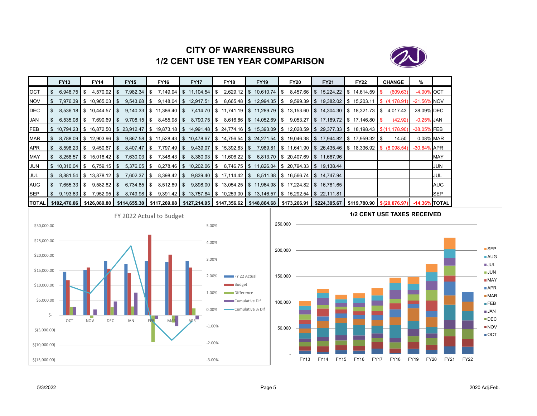

# **CITY OF WARRENSBURG1/2 CENT USE TEN YEAR COMPARISON**

|              | <b>FY13</b>     | <b>FY14</b>                | <b>FY15</b>   | <b>FY16</b>                                                                                                                                           | <b>FY17</b>                | <b>FY18</b>                | <b>FY19</b>                                                                         | <b>FY20</b>                        | <b>FY21</b>                                                           | <b>FY22</b> | <b>CHANGE</b> | %              |            |
|--------------|-----------------|----------------------------|---------------|-------------------------------------------------------------------------------------------------------------------------------------------------------|----------------------------|----------------------------|-------------------------------------------------------------------------------------|------------------------------------|-----------------------------------------------------------------------|-------------|---------------|----------------|------------|
| <b>OCT</b>   | 6,948.75        | $4,570.92$ \$<br>IS.       | 7,982.34      | $7,149.94$   \$<br>l S                                                                                                                                | $11,104.54$ $\parallel$ \$ | $2,629.12$ \$              | 10,610.74                                                                           | l S                                | $8,457.66$ \$ 15,224.22 \$ 14,614.59 \$                               |             | (609.63)      | -4.00% OCT     |            |
| <b>NOV</b>   |                 | 7,976.39 \$10,965.03 \$    |               |                                                                                                                                                       | 12,917.51                  | IS.                        | $8,665.48$ \ \$ 12,994.35 \ \$                                                      |                                    | $9,599.39$ \$ 19,382.02 \$ 15,203.11 \$ (4,178.91)                    |             |               | -21.56% NOV    |            |
| <b>I</b> DEC |                 | 8,536.18 \$ 10,444.57      | IS.           | $9,140.33$ \$ 11,386.40 \$                                                                                                                            |                            |                            | 7,414.70 S 11,741.19 S 11,289.79 S 13,153.60 S 14,304.30 S 18,321.73 S 4,017.43     |                                    |                                                                       |             |               | 28.09% DEC     |            |
| JAN          | $6,535.08$ \$   | $7,690.69$ \ \$            | $9,708.15$ \$ | $8,455.98$ \$                                                                                                                                         | $8,790.75$ \$              |                            | 8,616.86 St 14,052.69 St                                                            |                                    | $9,053.27$ \$ 17,189.72 \$ 17,146.80 \$                               |             | (42.92)       | $-0.25%$ JAN   |            |
| <b>IFEB</b>  | 10.794.23       |                            |               | $\$\$$ 16,872.50 $\$\$$ 23,912.47 $\$\$$ 19,873.18 $\$\$$                                                                                             |                            |                            | 14,991.48 \$24,774.16 \$15,393.09 \$12,028.59 \$29,377.33 \$18,198.43 \$(11,178.90) |                                    |                                                                       |             |               | -38.05% FEB    |            |
| MAR          |                 | 8,788.09 \$12,903.96 \$    |               | 9,867.58 \$ 11,528.43 \$ 10,478.67 \$ 14,756.54 \$ 24,271.54 \$ 19,046.38 \$ 17,944.82 \$ 17,959.32 \$                                                |                            |                            |                                                                                     |                                    |                                                                       |             | 14.50         | 0.08% MAR      |            |
| APR          | 8,598.23        | $9,450.67$ \$<br>IS.       |               | 7,797.49 \$                                                                                                                                           |                            | $9,439.07$ \$ 15,392.63 \$ |                                                                                     |                                    | 7,989.81   \$ 11,641.90   \$ 26,435.46   \$ 18,336.92   \$ (8,098.54) |             |               | $-30.64\%$ APR |            |
| MAY          |                 | $8,258.57$ \$ 15,018.42 \$ | $7,630.03$ \$ | $7,348.43$ \$                                                                                                                                         |                            | $8,380.93$ \$ 11,606.22 \$ |                                                                                     |                                    | 6,813.70 \$ 20,407.69 \$ 11,667.96                                    |             |               |                | MAY        |
| <b>JUN</b>   | $\$\,10,310.04$ | $6,759.15$ \$<br>- \$      | $5,376.05$ \$ |                                                                                                                                                       | 8,278.46 \$ 10,202.06 \$   |                            | 8,746.75 \$11,826.04 \$20,794.33 \$19,138.44                                        |                                    |                                                                       |             |               |                | JUN        |
| JUL          |                 | 8,881.54 \$13,878.12 \$    |               |                                                                                                                                                       |                            | $9,839.40$ \$ 17,114.42 \$ |                                                                                     | 8,511.38 \$ 16,566.74 \$ 14,747.94 |                                                                       |             |               |                | JUL        |
| AUG          | $7,655.33$ \$   | $9,582.82$ \$              | $6,734.85$ \$ | $8,512.89$ \$                                                                                                                                         |                            |                            | $9,898.00$ \$ 13,054.25 \$ 11,964.98 \$ 17,224.82 \$ 16,781.65                      |                                    |                                                                       |             |               |                | <b>AUG</b> |
| <b>SEP</b>   | $9,193.63$ \$   | 7,952.95 \$                |               |                                                                                                                                                       |                            |                            | $9,391.42$ \$ 13,757.84 \$ 10,259.00 \$ 13,146.57 \$ 15,292.54 \$ 22,111.81         |                                    |                                                                       |             |               |                | <b>SEP</b> |
|              |                 |                            |               | TOTAL \$102,476.06 \$126,089.80 \$114,655.30 \$117,269.08 \$127,214.95 \$147,356.62 \$148,864.68 \$173,266.91 \$224,305.67 \$119,780.90 \$(20,076.97) |                            |                            |                                                                                     |                                    |                                                                       |             |               | -14.36% TOTAL  |            |



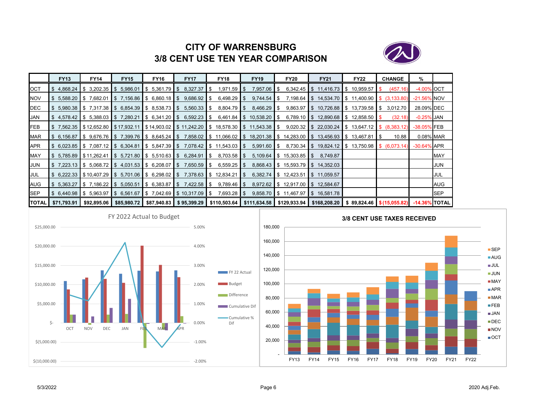

# **CITY OF WARRENSBURG3/8 CENT USE TEN YEAR COMPARISON**

|              | <b>FY13</b>                  | <b>FY14</b>           | <b>FY15</b> | <b>FY16</b>               | <b>FY17</b>                                                          | <b>FY18</b>                                                                   | <b>FY19</b>                                                                               | <b>FY20</b> | <b>FY21</b>                                                                                                                                                      | <b>FY22</b> | <b>CHANGE</b> | %              |            |
|--------------|------------------------------|-----------------------|-------------|---------------------------|----------------------------------------------------------------------|-------------------------------------------------------------------------------|-------------------------------------------------------------------------------------------|-------------|------------------------------------------------------------------------------------------------------------------------------------------------------------------|-------------|---------------|----------------|------------|
| OCT          | \$4.868.24                   | S 3.202.35 S 5.986.01 |             | $\frac{1}{2}$ 5.361.79 \$ | 8,327.37                                                             | 1,971.59<br>- \$                                                              | $7,957.06$ \$<br><b>IS</b>                                                                |             | $6,342.45$ \$ 11,416.73 \$ 10,959.57                                                                                                                             |             | (457.16)      | -4.00% OCT     |            |
| <b>NOV</b>   |                              |                       |             |                           | \$5,588.20  \$7,682.01  \$7,156.86  \$6,860.18  \$9,686.92  \$       | 6,498.29 \$                                                                   |                                                                                           |             | $9,744.54$ \$ 7,198.64 \$ 14,534.70 \$ 11,400.90 \$ (3,133.80)                                                                                                   |             |               | $-21.56\%$ NOV |            |
| DEC          |                              |                       |             |                           |                                                                      |                                                                               | $$5,980.38$ $$7,317.38$ $$6,854.39$ $$8,538.73$ $$5,560.33$ $$8,804.79$ $$8,466.29$ $$5$  |             | $9,863.97$ \$ 10,726.88 \$ 13,739.58 \$                                                                                                                          |             | 3,012.70      | 28.09% DEC     |            |
| JAN          |                              |                       |             |                           |                                                                      |                                                                               | $$4,578.42$ $$5,388.03$ $$7,280.21$ $$6,341.20$ $$6,592.23$ $$6,461.84$ $$10,538.20$ $$6$ |             | $6,789.10$ \$ 12,890.68 \$ 12,858.50 \$                                                                                                                          |             | (32.18)       | $-0.25\%$ JAN  |            |
| <b>FEB</b>   |                              |                       |             |                           |                                                                      |                                                                               |                                                                                           |             | \$7,562.35  \$12,652.80  \$17,932.11  \$14,903.02  \$11,242.20  \$18,578.30  \$11,543.38  \$9,020.32  \$22,030.24  \$13,647.12  \$(8,383.12)                     |             |               | -38.05% FEB    |            |
| <b>MAR</b>   |                              |                       |             |                           |                                                                      |                                                                               |                                                                                           |             | \$ 6,156.87  \$ 9,676.76  \$ 7,399.76  \$ 8,645.24  \$ 7,858.02  \$ 11,066.02  \$ 18,201.38  \$ 14,283.00  \$ 13,456.93  \$ 13,467.81  \$                        |             | 10.88         | 0.08% MAR      |            |
| <b>APR</b>   |                              |                       |             |                           |                                                                      | $$6,023.85$ $$7,087.12$ $$6,304.81$ $$5,847.39$ $$7,078.42$ $$11,543.03$ $$5$ |                                                                                           |             | $5,991.60$ \$ $8,730.34$ \$ $19,824.12$ \$ $13,750.98$ \$ $(6,073.14)$                                                                                           |             |               | -30.64% APR    |            |
| MAY          |                              |                       |             |                           |                                                                      | \$5,785.89  \$11,262.41  \$5,721.80  \$5,510.63  \$6,284.91  \$8,703.58  \$   |                                                                                           |             | $5,109.64$ \$ 15,303.85 \$ 8,749.87                                                                                                                              |             |               |                | <b>MAY</b> |
| JUN          |                              |                       |             |                           | \$7,223.13   \$5,068.72   \$4,031.53   \$6,208.07   \$7,650.59   \$  | $6,559.25$ \$                                                                 |                                                                                           |             | 8,868.43 \$ 15,593.79 \$ 14,352.03                                                                                                                               |             |               |                | <b>JUN</b> |
| JUL          |                              |                       |             |                           |                                                                      |                                                                               |                                                                                           |             | \$ 6,222.33 \$10,407.29 \$ 5,701.06 \$ 6,298.02 \$ 7,378.63 \$ 12,834.21 \$ 6,382.74 \$ 12,423.51 \$ 11,059.57                                                   |             |               |                | JUL        |
| AUG          |                              |                       |             |                           | \$5.363.27   \$7.186.22   \$5.050.51   \$6.383.87   \$7.422.58   \$  | $9,789.46$ \$                                                                 |                                                                                           |             | 8,972.62 \$12,917.00 \$12,584.67                                                                                                                                 |             |               |                | AUG        |
| <b>I</b> SEP |                              |                       |             |                           | \$6,440.98   \$5,963.97   \$6,561.67   \$7,042.69   \$10,317.09   \$ | 7,693.28 \$                                                                   |                                                                                           |             | $9,858.70$ \$ 11,467.97 \$ 16,581.78                                                                                                                             |             |               |                | <b>SEP</b> |
|              | <b>TOTAL   \$71,793.91  </b> |                       |             |                           |                                                                      |                                                                               |                                                                                           |             | \$92,895.06   \$85,980.72   \$87,940.83   \$ 95,399.29   \$110,503.64   \$111,634.58   \$129,933.94   \$168,208.20   \$ 89,824.46   \$(15,055.82)  -14.36% TOTAL |             |               |                |            |



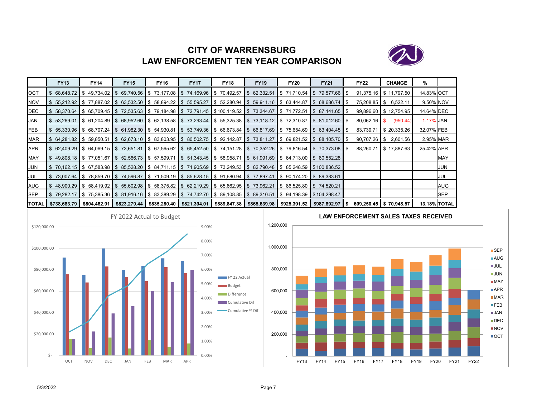# **CITY OF WARRENSBURGLAW ENFORCEMENT TEN YEAR COMPARISON**



|            | <b>FY13</b>               | <b>FY14</b>  | <b>FY15</b>                                                                                                                                                                                     | <b>FY16</b> | <b>FY17</b>                                                     | <b>FY18</b>    | <b>FY19</b>                      | <b>FY20</b>                                                             | <b>FY21</b>                      | <b>FY22</b>    | <b>CHANGE</b>           | %             |            |
|------------|---------------------------|--------------|-------------------------------------------------------------------------------------------------------------------------------------------------------------------------------------------------|-------------|-----------------------------------------------------------------|----------------|----------------------------------|-------------------------------------------------------------------------|----------------------------------|----------------|-------------------------|---------------|------------|
| OCT        |                           |              | $$68,648.72$ $$49,734.02$ $$69,740.56$ $$73,177.08$ $$74,169.96$                                                                                                                                |             |                                                                 | \$70,492.57    | $\$\$$ 62,332.51 \\ \$ 71,710.54 |                                                                         | \$79,577.66                      |                | 91,375.16 \$11,797.50   | 14.83% OCT    |            |
| <b>NOV</b> |                           |              | $\frac{1}{3}$ 55,212.92 $\frac{1}{3}$ 77,887.02 $\frac{1}{3}$ 63,532.50 $\frac{1}{3}$ 58,894.22 $\frac{1}{3}$ 55,595.27                                                                         |             |                                                                 |                |                                  | $\frac{1}{2}$ 52,280.94 $\frac{1}{2}$ 59,911.16 $\frac{1}{2}$ 63,444.87 | \$68,686.74                      |                | 75,208.85   \$ 6,522.11 | 9.50% NOV     |            |
| DEC        | \$58,370.64               |              | $\$ 65,709.45 $\$ \$ 72,535.63 $\$ \$ 79,184.98 $\$ \$ 72,791.45 $\$ \$ 100,119.52 $\$ \$ 73,344.67 $\$ \$ 71,772.51                                                                            |             |                                                                 |                |                                  |                                                                         | $\frac{1}{2}$ 87,141.65          |                | 99,896.60 \$12,754.95   | 14.64% DEC    |            |
| JAN        | \$53,269.01               |              | $\frac{1}{3}$ 61,204.89 $\frac{1}{3}$ 68,952.60 $\frac{1}{3}$ 62,138.58 $\frac{1}{3}$ 73,293.44 $\frac{1}{3}$ 55,325.38 $\frac{1}{3}$ 73,118.12 $\frac{1}{3}$ 72,310.87                         |             |                                                                 |                |                                  |                                                                         | \$81,012.60                      | $80,062.16$ \$ | (950.44)                | $-1.17\%$ JAN |            |
| <b>FEB</b> |                           |              | $$5,330.96$ $$68,707.24$ $$61,982.30$ $$54,930.81$                                                                                                                                              |             | \$53,749.36  \$66,673.84  \$66,817.69  \$75,654.69  \$63,404.45 |                |                                  |                                                                         |                                  | 83,739.71      | \$20,335.26             | 32.07% FEB    |            |
| MAR        |                           |              | \$64.281.82 \$59.850.51 \$62.673.10 \$83.803.95 \$80.502.75 \$92.142.87 \$73.811.27 \$69.821.52 \$88.105.70                                                                                     |             |                                                                 |                |                                  |                                                                         |                                  |                | 90,707.26 \$ 2,601.56   | 2.95% MAR     |            |
| APR        | \$ 62,409.29              |              | $\frac{1}{3}$ 64,069.15 $\frac{1}{3}$ 73,651.81 $\frac{1}{3}$ 67,565.62 $\frac{1}{3}$ 65,452.50 $\frac{1}{3}$ 74,151.28 $\frac{1}{3}$ 70,352.26 $\frac{1}{3}$ 79,816.54 $\frac{1}{3}$ 70,373.08 |             |                                                                 |                |                                  |                                                                         |                                  |                | 88,260.71 \$17,887.63   | 25.42% APR    |            |
| MAY        |                           |              | $\$\,49.808.18\,$ $\$\,77.051.67\,$ $\$\,52.566.73\,$ $\$\,57.599.71$                                                                                                                           |             | $\$\,51,343.45$ \\ \ \$ 58,958.71                               |                |                                  | $\$\$$ 61,991.69 \\ \$ 64,713.00 \ \$ 80,552.28                         |                                  |                |                         |               | <b>MAY</b> |
| JUN        |                           |              | \$ 70,162.15  \$ 67,583.98  \$ 85,528.20  \$ 84,711.15  \$ 71,905.69  \$ 73,249.53  \$ 82,790.48  \$ 85,248.59  \$100,836.52                                                                    |             |                                                                 |                |                                  |                                                                         |                                  |                |                         |               | JUN        |
| JUL        | \$73,007.64               |              | \$ 78,859.70  \$ 74,596.87  \$ 71,509.19  \$ 85,628.15  \$ 91,680.94  \$ 77,897.41  \$ 90,174.20  \$ 89,383.61                                                                                  |             |                                                                 |                |                                  |                                                                         |                                  |                |                         |               | JUL        |
| <b>AUG</b> |                           |              | $\frac{1}{3}$ 48,900.29 \ \$ 58,419.92 \ \$ 55,602.98 \ \$ 58,375.82 \ \$ 62,219.29 \ \$ 65,662.95 \ \$ 73,962.21                                                                               |             |                                                                 |                |                                  | $\parallel$ \$ 86,525.80 $\parallel$ \$ 74,520.21                       |                                  |                |                         |               | AUG        |
| SEP        |                           |              | \$79,282.17 \$75,385.36 \$81,916.16 \$83,389.29 \$74,742.70 \$89,108.85 \$89,310.51 \$94,198.39 \$104,298.47 \$                                                                                 |             |                                                                 |                |                                  |                                                                         |                                  |                |                         |               | <b>SEP</b> |
|            | <b>TOTAL \$738,683.79</b> | \$804,462.91 | \$823,279.44                                                                                                                                                                                    |             | \$835,280.40 \$821,394.01                                       | \$889,847.38 I | \$865,639.98                     |                                                                         | \$925,391.52   \$987,892.97   \$ |                | 609,250.45 \$70,948.57  | 13.18% TOTAL  |            |



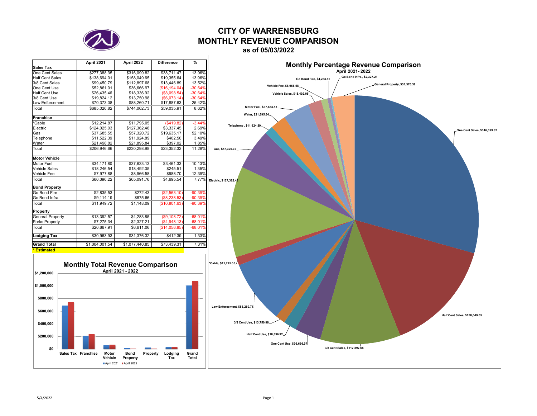

# **CITY OF WARRENSBURGMONTHLY REVENUE COMPARISON**

**as of 05/03/2022**

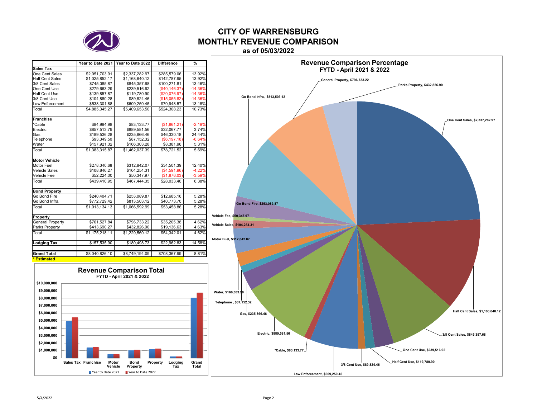

### **CITY OF WARRENSBURGMONTHLY REVENUE COMPARISONas of 05/03/2022**

|                         | Year to Date 2021 | Year to Date 2022 | <b>Difference</b> | $\frac{9}{6}$ |
|-------------------------|-------------------|-------------------|-------------------|---------------|
| Sales Tax               |                   |                   |                   |               |
| One Cent Sales          | \$2,051,703.91    | \$2,337,282.97    | \$285,579.06      | 13.92%        |
| <b>Half Cent Sales</b>  | \$1,025,852.17    | \$1,168,640.12    | \$142,787.95      | 13.92%        |
| 3/8 Cent Sales          | \$745,085.87      | \$845,357.68      | \$100,271.81      | 13.46%        |
| One Cent Use            | \$279,663.29      | \$239,516.92      | (\$40, 146.37)    | $-14.36%$     |
| <b>Half Cent Use</b>    | \$139,857.87      | \$119,780.90      | (\$20,076.97)     | $-14.36%$     |
| 3/8 Cent Use            | \$104,880.28      | \$89,824.46       | (\$15,055.82)     | $-14.36%$     |
| Law Enforcement         | \$538,301.88      | \$609,250.45      | \$70,948.57       | 13.18%        |
| Total                   | \$4.885.345.27    | \$5.409.653.50    | \$524.308.23      | 10.73%        |
| <b>Franchise</b>        |                   |                   |                   |               |
| *Cable                  | \$84,994.98       | \$83,133.77       | (S1.861.21)       | $-2.19%$      |
| Electric                | \$857,513.79      | \$889,581.56      | \$32,067.77       | 3.74%         |
| Gas                     | \$189.536.28      | \$235.866.46      | \$46,330.18       | 24.44%        |
| Telephone               | \$93,349.50       | \$87,152.32       | (S6, 197.18)      | $-6.64%$      |
| Water                   | \$157,921.32      | \$166,303.28      | \$8,381.96        | 5.31%         |
| Total                   | \$1.383.315.87    | \$1.462.037.39    | \$78.721.52       | 5.69%         |
| <b>Motor Vehicle</b>    |                   |                   |                   |               |
| Motor Fuel              | \$278,340.68      | \$312,842.07      | \$34,501.39       | 12.40%        |
| <b>Vehicle Sales</b>    | \$108.846.27      | \$104.254.31      | (S4.591.96)       | $-4.22%$      |
| Vehicle Fee             | \$52,224.00       | \$50,347.97       | (\$1,876.03)      | $-3.59%$      |
| Total                   | \$439.410.95      | \$467.444.35      | \$28,033.40       | 6.38%         |
| <b>Bond Property</b>    |                   |                   |                   |               |
| Go Bond Fire            | \$240.404.71      | \$253.089.87      | \$12,685.16       | 5.28%         |
| Go Bond Infra.          | \$772,729.42      | \$813,503.12      | \$40,773.70       | 5.28%         |
| Total                   | \$1.013.134.13    | \$1.066.592.99    | \$53.458.86       | 5.28%         |
| Property                |                   |                   |                   |               |
| <b>General Property</b> | \$761.527.84      | \$796,733.22      | \$35,205.38       | 4.62%         |
| Parks Property          | \$413,690.27      | \$432,826.90      | \$19,136.63       | 4.63%         |
| Total                   | \$1,175,218.11    | \$1,229,560.12    | \$54,342.01       | 4.62%         |
| Lodging Tax             | \$157,535.90      | \$180,498.73      | \$22,962.83       | 14.58%        |
|                         |                   |                   |                   |               |
| <b>Grand Total</b>      | \$8,040,826.10    | \$8,749,194.09    | \$708,367.99      | 8.81%         |
| <b>Estimated</b>        |                   |                   |                   |               |



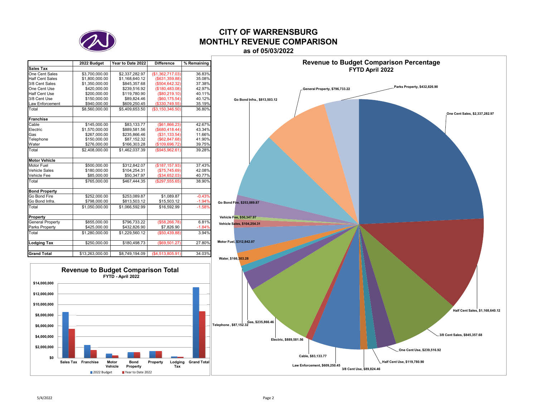

### **CITY OF WARRENSBURGMONTHLY REVENUE COMPARISONas of 05/03/2022**

### **2022 Budget Year to Date 2022 Difference % Remaining Sales Tax**One Cent Sales  $\frac{$3,700,000.00}{$2,337,282.97}$  (\$1,362,717.03) 36.83%<br> $\frac{$1,800,000.00}{$1,168,640.12}$  (\$631,359.88) 35.08% Half Cent Sales \$1,800,000.00 \$1,168,640.12 (\$631,359.88) 35.08%<br>3/8 Cent Sales \$1,350,000.00 \$845,357.68 (\$504,642.32) 37.38%  $\begin{array}{c|c}\n\text{$} 51,350,000.00 \\
\text{$} 9420,000.00\n\end{array}$   $\begin{array}{c}\n\text{$} 5845,357.68 \\
\text{$} 5239,516.92\n\end{array}$   $\begin{array}{c}\n\text{$} 504,642.32 \\
\text{$} 5180,483.08\n\end{array}$ 37.38% One Cent Use \$420,000.00 \$239,516.92 (\$180,483.08) 42.97%  $$200,000.00$   $$119,780.90$   $$89,824.46$   $$60,175.54$  40.11% 3/8 Cent Use \$150,000.00 \$89,824.46 (\$60,175.54) 40.12% Law Enforcement Total \$8,560,000.00 \$5,409,653.50 (\$3,150,346.50) 36.80% **Franchise**  Cable \$145,000.00 \$83,133.77 (\$61,866.23) 42.67%  $\begin{array}{c|c}\n$1,570,000.00 & $889,581.56 & ($860,418.44) \\
$267,000.00 & $235.866.46 & ($31.133.54) \\
\end{array}$ 43.34% Gas \$267,000.00 \$235,866.46 (\$31,133.54) 11.66% Telephone \$150,000.00 \$87,152.32 (\$62,847.68) 41.90% Water \$276,000.00 \$166,303.28 (\$109,696.72) 39.75% Total \$2,408,000.00 \$1,462,037.39 (\$945,962.61) 39.28% **Motor Vehicle**Motor Fuel \$500,000.00 \$312,842.07 (\$187,157.93) 37.43%<br>Vehicle Sales \$180,000.00 \$104,254.31 (\$75.745.69) 42.08% Vehicle Sales Vehicle Fee \$85,000.00 \$50,347.97 (\$34,652.03) 40.77% Total \$765,000.00 \$467,444.35 (\$297,555.65) 38.90% **Bond Property** Go Bond Fire \$252,000.00 \$253,089.87 \$1,089.87 -0.43<br>Go Bond Infra. \$798,000.00 \$813.503.12 \$15.503.12 -1.94  $-1.949$ Go Bond Infra. Total \$1,050,000.00 \$1,066,592.99 \$16,592.99 -1.58%**Property** General Property  $\frac{$855,000.00}{$425,000.00}$  \$796,733.22 (\$58,266.78) 6.81%<br>Parks Property \$425,000.00 \$432,826.90 \$7,826.90 -1.84% Parks Property **\$425,000.00** \$432,826.90 Total \$1,280,000.00 \$1,229,560.12 (\$50,439.88) 3.94% **Lodging Tax** \$250,000.00 \$180,498.73 (\$69,501.27) 27.80% **Grand Total**\$13,263,000.00 \$8,749,194.09 (\$4,513,805.91) 34.03%



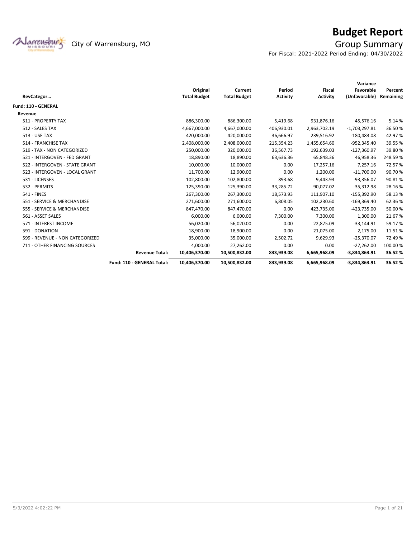

# **Budget Report**

For Fiscal: 2021-2022 Period Ending: 04/30/2022

|                                 |                            |                     |                     |                 |                 | Variance        |           |
|---------------------------------|----------------------------|---------------------|---------------------|-----------------|-----------------|-----------------|-----------|
|                                 |                            | Original            | Current             | Period          | Fiscal          | Favorable       | Percent   |
| RevCategor                      |                            | <b>Total Budget</b> | <b>Total Budget</b> | <b>Activity</b> | <b>Activity</b> | (Unfavorable)   | Remaining |
| <b>Fund: 110 - GENERAL</b>      |                            |                     |                     |                 |                 |                 |           |
| Revenue                         |                            |                     |                     |                 |                 |                 |           |
| 511 - PROPERTY TAX              |                            | 886,300.00          | 886,300.00          | 5,419.68        | 931,876.16      | 45,576.16       | 5.14 %    |
| 512 - SALES TAX                 |                            | 4,667,000.00        | 4,667,000.00        | 406,930.01      | 2,963,702.19    | $-1,703,297.81$ | 36.50%    |
| <b>513 - USE TAX</b>            |                            | 420,000.00          | 420,000.00          | 36,666.97       | 239,516.92      | $-180,483.08$   | 42.97%    |
| 514 - FRANCHISE TAX             |                            | 2,408,000.00        | 2,408,000.00        | 215,354.23      | 1,455,654.60    | $-952,345.40$   | 39.55 %   |
| 519 - TAX - NON CATEGORIZED     |                            | 250,000.00          | 320,000.00          | 36,567.73       | 192,639.03      | $-127,360.97$   | 39.80%    |
| 521 - INTERGOVEN - FED GRANT    |                            | 18,890.00           | 18,890.00           | 63,636.36       | 65,848.36       | 46,958.36       | 248.59%   |
| 522 - INTERGOVEN - STATE GRANT  |                            | 10,000.00           | 10,000.00           | 0.00            | 17,257.16       | 7,257.16        | 72.57%    |
| 523 - INTERGOVEN - LOCAL GRANT  |                            | 11,700.00           | 12,900.00           | 0.00            | 1,200.00        | $-11,700.00$    | 90.70%    |
| 531 - LICENSES                  |                            | 102,800.00          | 102,800.00          | 893.68          | 9,443.93        | $-93,356.07$    | 90.81%    |
| 532 - PERMITS                   |                            | 125,390.00          | 125,390.00          | 33,285.72       | 90,077.02       | $-35,312.98$    | 28.16%    |
| <b>541 - FINES</b>              |                            | 267,300.00          | 267,300.00          | 18,573.93       | 111,907.10      | $-155,392.90$   | 58.13%    |
| 551 - SERVICE & MERCHANDISE     |                            | 271,600.00          | 271,600.00          | 6,808.05        | 102,230.60      | $-169,369.40$   | 62.36%    |
| 555 - SERVICE & MERCHANDISE     |                            | 847,470.00          | 847,470.00          | 0.00            | 423,735.00      | $-423,735.00$   | 50.00 %   |
| 561 - ASSET SALES               |                            | 6,000.00            | 6,000.00            | 7,300.00        | 7,300.00        | 1,300.00        | 21.67%    |
| 571 - INTEREST INCOME           |                            | 56,020.00           | 56,020.00           | 0.00            | 22,875.09       | $-33,144.91$    | 59.17%    |
| 591 - DONATION                  |                            | 18,900.00           | 18,900.00           | 0.00            | 21,075.00       | 2,175.00        | 11.51%    |
| 599 - REVENUE - NON CATEGORIZED |                            | 35,000.00           | 35,000.00           | 2,502.72        | 9,629.93        | $-25,370.07$    | 72.49%    |
| 711 - OTHER FINANCING SOURCES   |                            | 4,000.00            | 27,262.00           | 0.00            | 0.00            | $-27,262.00$    | 100.00%   |
|                                 | <b>Revenue Total:</b>      | 10,406,370.00       | 10,500,832.00       | 833,939.08      | 6,665,968.09    | $-3,834,863.91$ | 36.52%    |
|                                 | Fund: 110 - GENERAL Total: | 10,406,370.00       | 10,500,832.00       | 833,939.08      | 6,665,968.09    | $-3,834,863.91$ | 36.52%    |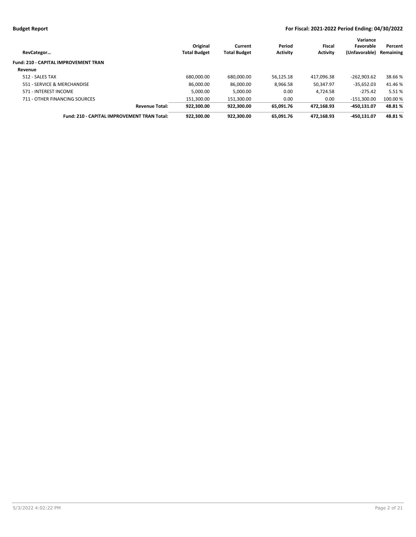| RevCategor                                  | Original<br><b>Total Budget</b> | Current<br><b>Total Budget</b> | Period<br><b>Activity</b> | Fiscal<br><b>Activity</b> | Variance<br>Favorable<br>(Unfavorable) | Percent<br>Remaining |
|---------------------------------------------|---------------------------------|--------------------------------|---------------------------|---------------------------|----------------------------------------|----------------------|
| <b>Fund: 210 - CAPITAL IMPROVEMENT TRAN</b> |                                 |                                |                           |                           |                                        |                      |
| Revenue                                     |                                 |                                |                           |                           |                                        |                      |
| 512 - SALES TAX                             | 680.000.00                      | 680.000.00                     | 56.125.18                 | 417.096.38                | $-262.903.62$                          | 38.66%               |
| 551 - SERVICE & MERCHANDISE                 | 86.000.00                       | 86.000.00                      | 8.966.58                  | 50.347.97                 | $-35.652.03$                           | 41.46 %              |
| 571 - INTEREST INCOME                       | 5.000.00                        | 5.000.00                       | 0.00                      | 4.724.58                  | $-275.42$                              | 5.51%                |
| 711 - OTHER FINANCING SOURCES               | 151.300.00                      | 151.300.00                     | 0.00                      | 0.00                      | $-151.300.00$                          | 100.00 %             |
| <b>Revenue Total:</b>                       | 922.300.00                      | 922.300.00                     | 65.091.76                 | 472.168.93                | $-450.131.07$                          | 48.81%               |
| Fund: 210 - CAPITAL IMPROVEMENT TRAN Total: | 922.300.00                      | 922.300.00                     | 65.091.76                 | 472.168.93                | -450.131.07                            | 48.81%               |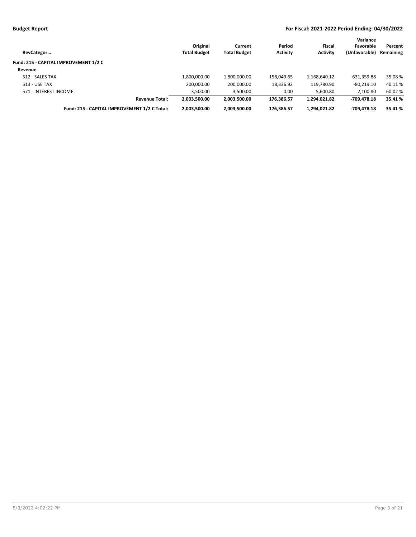| RevCategor                                   | Original<br><b>Total Budget</b> | Current<br><b>Total Budget</b> | Period<br><b>Activity</b> | Fiscal<br><b>Activity</b> | Variance<br>Favorable<br>(Unfavorable) | Percent<br>Remaining |
|----------------------------------------------|---------------------------------|--------------------------------|---------------------------|---------------------------|----------------------------------------|----------------------|
| Fund: 215 - CAPITAL IMPROVEMENT 1/2 C        |                                 |                                |                           |                           |                                        |                      |
| Revenue                                      |                                 |                                |                           |                           |                                        |                      |
| 512 - SALES TAX                              | 1,800,000.00                    | 1,800,000.00                   | 158.049.65                | 1,168,640.12              | $-631.359.88$                          | 35.08 %              |
| 513 - USE TAX                                | 200,000.00                      | 200,000.00                     | 18,336.92                 | 119,780.90                | $-80,219.10$                           | 40.11 %              |
| 571 - INTEREST INCOME                        | 3,500.00                        | 3,500.00                       | 0.00                      | 5,600.80                  | 2,100.80                               | 60.02%               |
| <b>Revenue Total:</b>                        | 2,003,500.00                    | 2.003.500.00                   | 176.386.57                | 1.294.021.82              | -709.478.18                            | 35.41 %              |
| Fund: 215 - CAPITAL IMPROVEMENT 1/2 C Total: | 2,003,500.00                    | 2,003,500.00                   | 176.386.57                | 1,294,021.82              | -709.478.18                            | 35.41 %              |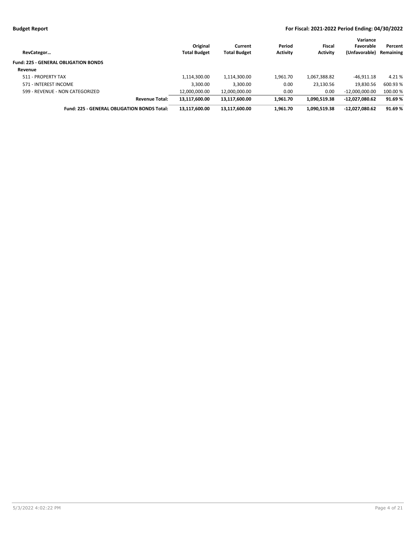| RevCategor                                         | Original<br><b>Total Budget</b> | Current<br><b>Total Budget</b> | Period<br><b>Activity</b> | <b>Fiscal</b><br><b>Activity</b> | Variance<br>Favorable<br>(Unfavorable) | Percent<br>Remaining |
|----------------------------------------------------|---------------------------------|--------------------------------|---------------------------|----------------------------------|----------------------------------------|----------------------|
| <b>Fund: 225 - GENERAL OBLIGATION BONDS</b>        |                                 |                                |                           |                                  |                                        |                      |
| Revenue                                            |                                 |                                |                           |                                  |                                        |                      |
| 511 - PROPERTY TAX                                 | 1,114,300.00                    | 1,114,300.00                   | 1,961.70                  | 1,067,388.82                     | $-46.911.18$                           | 4.21 %               |
| 571 - INTEREST INCOME                              | 3,300.00                        | 3,300.00                       | 0.00                      | 23,130.56                        | 19,830.56                              | 600.93 %             |
| 599 - REVENUE - NON CATEGORIZED                    | 12,000,000.00                   | 12,000,000.00                  | 0.00                      | 0.00                             | $-12.000.000.00$                       | 100.00 %             |
| <b>Revenue Total:</b>                              | 13.117.600.00                   | 13,117,600.00                  | 1.961.70                  | 1.090.519.38                     | -12.027.080.62                         | 91.69%               |
| <b>Fund: 225 - GENERAL OBLIGATION BONDS Total:</b> | 13,117,600.00                   | 13,117,600.00                  | 1.961.70                  | 1,090,519.38                     | -12,027,080.62                         | 91.69%               |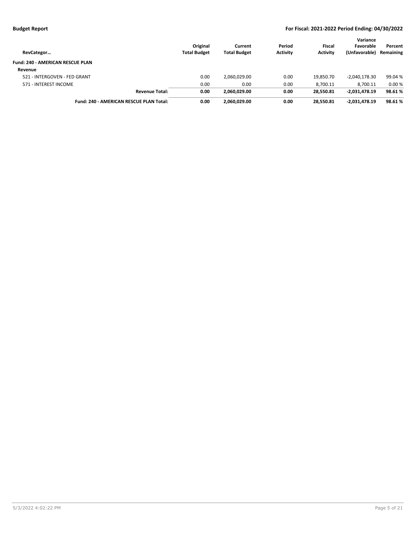| RevCategor                                     | Original<br><b>Total Budget</b> | Current<br><b>Total Budget</b> | Period<br><b>Activity</b> | Fiscal<br><b>Activity</b> | Variance<br>Favorable<br>(Unfavorable) | Percent<br>Remaining |
|------------------------------------------------|---------------------------------|--------------------------------|---------------------------|---------------------------|----------------------------------------|----------------------|
| <b>Fund: 240 - AMERICAN RESCUE PLAN</b>        |                                 |                                |                           |                           |                                        |                      |
| Revenue                                        |                                 |                                |                           |                           |                                        |                      |
| 521 - INTERGOVEN - FED GRANT                   | 0.00                            | 2,060,029.00                   | 0.00                      | 19.850.70                 | $-2,040,178.30$                        | 99.04 %              |
| 571 - INTEREST INCOME                          | 0.00                            | 0.00                           | 0.00                      | 8,700.11                  | 8.700.11                               | 0.00%                |
| <b>Revenue Total:</b>                          | 0.00                            | 2.060.029.00                   | 0.00                      | 28.550.81                 | -2.031.478.19                          | 98.61%               |
| <b>Fund: 240 - AMERICAN RESCUE PLAN Total:</b> | 0.00                            | 2.060.029.00                   | 0.00                      | 28.550.81                 | -2.031.478.19                          | 98.61%               |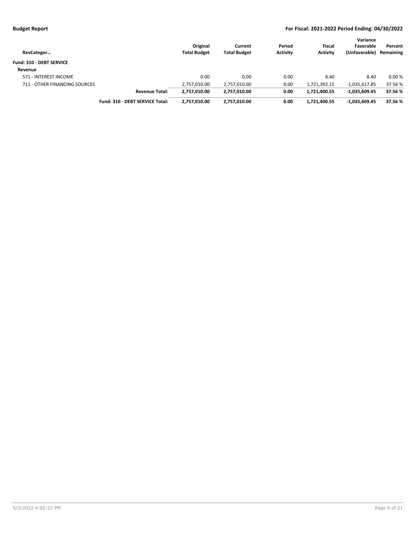| RevCategor                    |                                 | Original<br><b>Total Budget</b> | Current<br><b>Total Budget</b> | Period<br><b>Activity</b> | <b>Fiscal</b><br><b>Activity</b> | Variance<br>Favorable<br>(Unfavorable) | Percent<br>Remaining |
|-------------------------------|---------------------------------|---------------------------------|--------------------------------|---------------------------|----------------------------------|----------------------------------------|----------------------|
| Fund: 310 - DEBT SERVICE      |                                 |                                 |                                |                           |                                  |                                        |                      |
| Revenue                       |                                 |                                 |                                |                           |                                  |                                        |                      |
| 571 - INTEREST INCOME         |                                 | 0.00                            | 0.00                           | 0.00                      | 8.40                             | 8.40                                   | 0.00%                |
| 711 - OTHER FINANCING SOURCES |                                 | 2,757,010.00                    | 2,757,010.00                   | 0.00                      | 1,721,392.15                     | $-1,035,617.85$                        | 37.56 %              |
|                               | <b>Revenue Total:</b>           | 2,757,010.00                    | 2,757,010.00                   | 0.00                      | 1,721,400.55                     | $-1,035,609.45$                        | 37.56 %              |
|                               | Fund: 310 - DEBT SERVICE Total: | 2,757,010.00                    | 2,757,010.00                   | 0.00                      | 1.721.400.55                     | $-1,035,609.45$                        | 37.56 %              |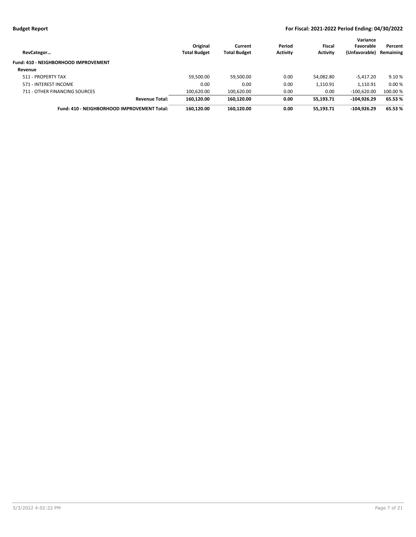| RevCategor                                  | Original<br><b>Total Budget</b> | Current<br><b>Total Budget</b> | Period<br><b>Activity</b> | Fiscal<br><b>Activity</b> | Variance<br>Favorable<br>(Unfavorable) | Percent<br>Remaining |
|---------------------------------------------|---------------------------------|--------------------------------|---------------------------|---------------------------|----------------------------------------|----------------------|
| Fund: 410 - NEIGHBORHOOD IMPROVEMENT        |                                 |                                |                           |                           |                                        |                      |
| Revenue                                     |                                 |                                |                           |                           |                                        |                      |
| 511 - PROPERTY TAX                          | 59,500.00                       | 59,500.00                      | 0.00                      | 54.082.80                 | $-5.417.20$                            | 9.10 %               |
| 571 - INTEREST INCOME                       | 0.00                            | 0.00                           | 0.00                      | 1,110.91                  | 1.110.91                               | 0.00%                |
| 711 - OTHER FINANCING SOURCES               | 100,620.00                      | 100,620.00                     | 0.00                      | 0.00                      | $-100,620.00$                          | 100.00 %             |
| <b>Revenue Total:</b>                       | 160.120.00                      | 160.120.00                     | 0.00                      | 55.193.71                 | $-104.926.29$                          | 65.53 %              |
| Fund: 410 - NEIGHBORHOOD IMPROVEMENT Total: | 160,120.00                      | 160,120.00                     | 0.00                      | 55,193.71                 | $-104.926.29$                          | 65.53 %              |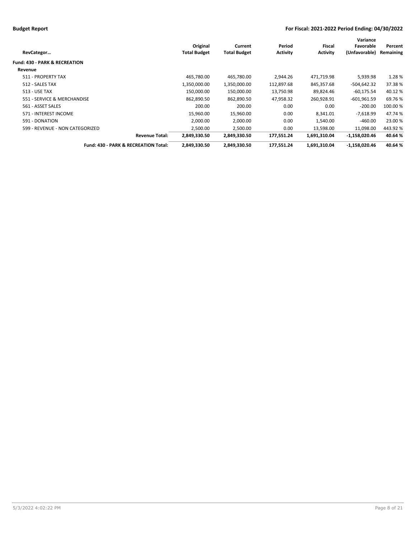|                                          |                     |                     |                 |                 | Variance        |           |
|------------------------------------------|---------------------|---------------------|-----------------|-----------------|-----------------|-----------|
|                                          | Original            | Current             | Period          | Fiscal          | Favorable       | Percent   |
| RevCategor                               | <b>Total Budget</b> | <b>Total Budget</b> | <b>Activity</b> | <b>Activity</b> | (Unfavorable)   | Remaining |
| <b>Fund: 430 - PARK &amp; RECREATION</b> |                     |                     |                 |                 |                 |           |
| Revenue                                  |                     |                     |                 |                 |                 |           |
| 511 - PROPERTY TAX                       | 465,780.00          | 465,780.00          | 2.944.26        | 471,719.98      | 5,939.98        | 1.28%     |
| 512 - SALES TAX                          | 1,350,000.00        | 1,350,000.00        | 112,897.68      | 845,357.68      | -504,642.32     | 37.38%    |
| <b>513 - USE TAX</b>                     | 150,000.00          | 150,000.00          | 13,750.98       | 89,824.46       | $-60.175.54$    | 40.12 %   |
| 551 - SERVICE & MERCHANDISE              | 862,890.50          | 862,890.50          | 47,958.32       | 260,928.91      | $-601,961.59$   | 69.76%    |
| 561 - ASSET SALES                        | 200.00              | 200.00              | 0.00            | 0.00            | $-200.00$       | 100.00 %  |
| 571 - INTEREST INCOME                    | 15,960.00           | 15,960.00           | 0.00            | 8,341.01        | $-7,618.99$     | 47.74 %   |
| 591 - DONATION                           | 2,000.00            | 2,000.00            | 0.00            | 1,540.00        | $-460.00$       | 23.00 %   |
| 599 - REVENUE - NON CATEGORIZED          | 2,500.00            | 2,500.00            | 0.00            | 13,598.00       | 11,098.00       | 443.92%   |
| <b>Revenue Total:</b>                    | 2,849,330.50        | 2,849,330.50        | 177,551.24      | 1,691,310.04    | -1,158,020.46   | 40.64%    |
| Fund: 430 - PARK & RECREATION Total:     | 2,849,330.50        | 2,849,330.50        | 177,551.24      | 1,691,310.04    | $-1,158,020.46$ | 40.64%    |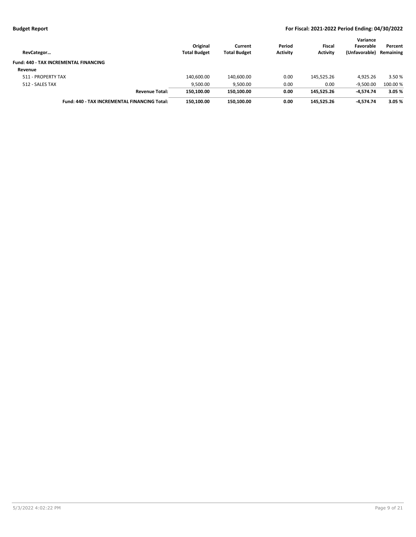| RevCategor                                          | Original<br><b>Total Budget</b> | Current<br><b>Total Budget</b> | Period<br><b>Activity</b> | Fiscal<br><b>Activity</b> | Variance<br>Favorable<br>(Unfavorable) | Percent<br>Remaining |
|-----------------------------------------------------|---------------------------------|--------------------------------|---------------------------|---------------------------|----------------------------------------|----------------------|
| <b>Fund: 440 - TAX INCREMENTAL FINANCING</b>        |                                 |                                |                           |                           |                                        |                      |
| Revenue                                             |                                 |                                |                           |                           |                                        |                      |
| 511 - PROPERTY TAX                                  | 140,600.00                      | 140,600.00                     | 0.00                      | 145.525.26                | 4.925.26                               | 3.50 %               |
| 512 - SALES TAX                                     | 9,500.00                        | 9,500.00                       | 0.00                      | 0.00                      | $-9.500.00$                            | 100.00 %             |
| <b>Revenue Total:</b>                               | 150.100.00                      | 150,100.00                     | 0.00                      | 145.525.26                | $-4.574.74$                            | 3.05%                |
| <b>Fund: 440 - TAX INCREMENTAL FINANCING Total:</b> | 150.100.00                      | 150.100.00                     | 0.00                      | 145.525.26                | -4.574.74                              | 3.05%                |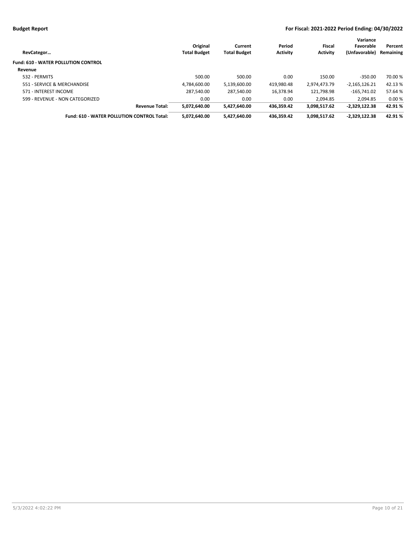| RevCategor                                        | Original<br><b>Total Budget</b> | Current<br><b>Total Budget</b> | Period<br><b>Activity</b> | Fiscal<br><b>Activity</b> | Variance<br>Favorable<br>(Unfavorable) | Percent<br>Remaining |
|---------------------------------------------------|---------------------------------|--------------------------------|---------------------------|---------------------------|----------------------------------------|----------------------|
| <b>Fund: 610 - WATER POLLUTION CONTROL</b>        |                                 |                                |                           |                           |                                        |                      |
| Revenue                                           |                                 |                                |                           |                           |                                        |                      |
| 532 - PERMITS                                     | 500.00                          | 500.00                         | 0.00                      | 150.00                    | $-350.00$                              | 70.00 %              |
| 551 - SERVICE & MERCHANDISE                       | 4.784.600.00                    | 5,139,600.00                   | 419,980.48                | 2,974,473.79              | $-2,165,126.21$                        | 42.13 %              |
| 571 - INTEREST INCOME                             | 287.540.00                      | 287.540.00                     | 16.378.94                 | 121.798.98                | $-165.741.02$                          | 57.64 %              |
| 599 - REVENUE - NON CATEGORIZED                   | 0.00                            | 0.00                           | 0.00                      | 2.094.85                  | 2.094.85                               | 0.00%                |
| <b>Revenue Total:</b>                             | 5,072,640.00                    | 5,427,640.00                   | 436.359.42                | 3,098,517.62              | $-2,329,122.38$                        | 42.91%               |
| <b>Fund: 610 - WATER POLLUTION CONTROL Total:</b> | 5,072,640.00                    | 5,427,640.00                   | 436.359.42                | 3,098,517.62              | $-2,329,122.38$                        | 42.91%               |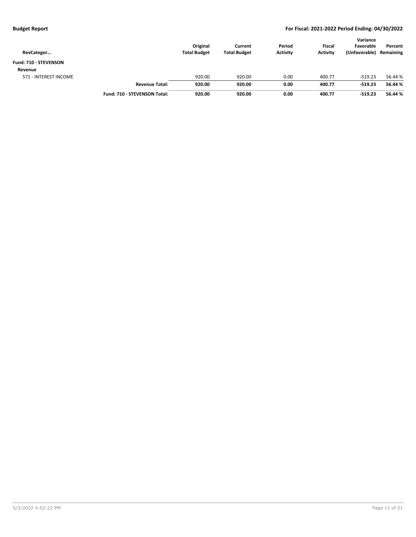| RevCategor            |                                     | Original<br><b>Total Budget</b> | Current<br><b>Total Budget</b> | Period<br><b>Activity</b> | <b>Fiscal</b><br><b>Activity</b> | Variance<br>Favorable<br>(Unfavorable) | Percent<br>Remaining |
|-----------------------|-------------------------------------|---------------------------------|--------------------------------|---------------------------|----------------------------------|----------------------------------------|----------------------|
| Fund: 710 - STEVENSON |                                     |                                 |                                |                           |                                  |                                        |                      |
| Revenue               |                                     |                                 |                                |                           |                                  |                                        |                      |
| 571 - INTEREST INCOME |                                     | 920.00                          | 920.00                         | 0.00                      | 400.77                           | $-519.23$                              | 56.44 %              |
|                       | <b>Revenue Total:</b>               | 920.00                          | 920.00                         | 0.00                      | 400.77                           | $-519.23$                              | 56.44 %              |
|                       | <b>Fund: 710 - STEVENSON Total:</b> | 920.00                          | 920.00                         | 0.00                      | 400.77                           | $-519.23$                              | 56.44 %              |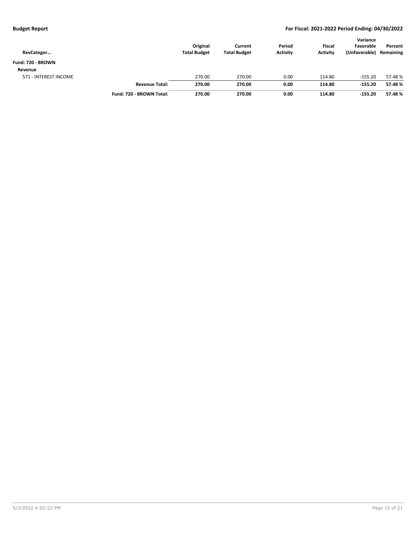| RevCategor            |                          | Original<br><b>Total Budget</b> | Current<br><b>Total Budget</b> | Period<br><b>Activity</b> | <b>Fiscal</b><br><b>Activity</b> | Variance<br>Favorable<br>(Unfavorable) | Percent<br>Remaining |
|-----------------------|--------------------------|---------------------------------|--------------------------------|---------------------------|----------------------------------|----------------------------------------|----------------------|
| Fund: 720 - BROWN     |                          |                                 |                                |                           |                                  |                                        |                      |
| Revenue               |                          |                                 |                                |                           |                                  |                                        |                      |
| 571 - INTEREST INCOME |                          | 270.00                          | 270.00                         | 0.00                      | 114.80                           | $-155.20$                              | 57.48%               |
|                       | <b>Revenue Total:</b>    | 270.00                          | 270.00                         | 0.00                      | 114.80                           | $-155.20$                              | 57.48%               |
|                       | Fund: 720 - BROWN Total: | 270.00                          | 270.00                         | 0.00                      | 114.80                           | $-155.20$                              | 57.48%               |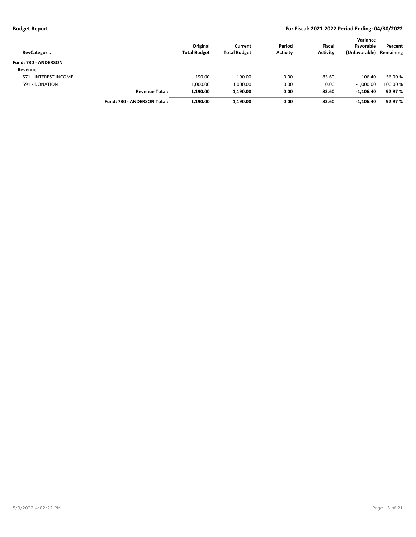| RevCategor            |                             | Original<br><b>Total Budget</b> | Current<br><b>Total Budget</b> | Period<br><b>Activity</b> | <b>Fiscal</b><br><b>Activity</b> | Variance<br>Favorable<br>(Unfavorable) | Percent<br>Remaining |
|-----------------------|-----------------------------|---------------------------------|--------------------------------|---------------------------|----------------------------------|----------------------------------------|----------------------|
| Fund: 730 - ANDERSON  |                             |                                 |                                |                           |                                  |                                        |                      |
| Revenue               |                             |                                 |                                |                           |                                  |                                        |                      |
| 571 - INTEREST INCOME |                             | 190.00                          | 190.00                         | 0.00                      | 83.60                            | $-106.40$                              | 56.00 %              |
| 591 - DONATION        |                             | 1,000.00                        | 1,000.00                       | 0.00                      | 0.00                             | $-1,000.00$                            | 100.00 %             |
|                       | <b>Revenue Total:</b>       | 1,190.00                        | 1,190.00                       | 0.00                      | 83.60                            | $-1.106.40$                            | 92.97 %              |
|                       | Fund: 730 - ANDERSON Total: | 1,190.00                        | 1,190.00                       | 0.00                      | 83.60                            | $-1,106.40$                            | 92.97 %              |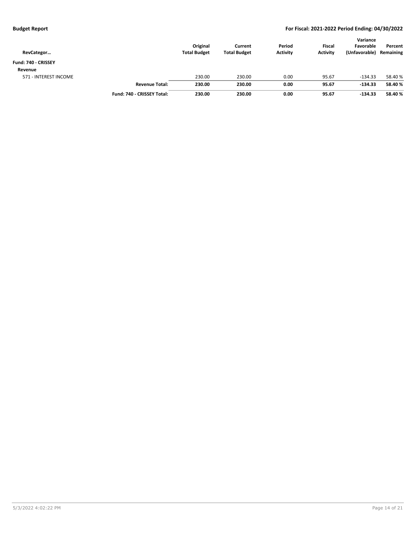| RevCategor            |                            | Original<br><b>Total Budget</b> | Current<br><b>Total Budget</b> | Period<br><b>Activity</b> | <b>Fiscal</b><br><b>Activity</b> | Variance<br>Favorable<br>(Unfavorable) | Percent<br>Remaining |
|-----------------------|----------------------------|---------------------------------|--------------------------------|---------------------------|----------------------------------|----------------------------------------|----------------------|
| Fund: 740 - CRISSEY   |                            |                                 |                                |                           |                                  |                                        |                      |
| Revenue               |                            |                                 |                                |                           |                                  |                                        |                      |
| 571 - INTEREST INCOME |                            | 230.00                          | 230.00                         | 0.00                      | 95.67                            | $-134.33$                              | 58.40 %              |
|                       | <b>Revenue Total:</b>      | 230.00                          | 230.00                         | 0.00                      | 95.67                            | $-134.33$                              | 58.40 %              |
|                       | Fund: 740 - CRISSEY Total: | 230.00                          | 230.00                         | 0.00                      | 95.67                            | $-134.33$                              | 58.40 %              |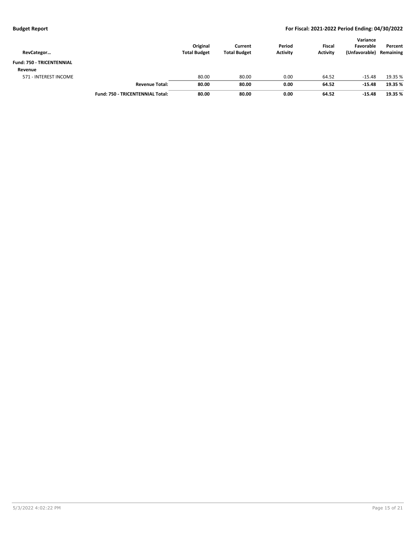| RevCategor                       |                                         | Original<br><b>Total Budget</b> | Current<br><b>Total Budget</b> | Period<br><b>Activity</b> | <b>Fiscal</b><br><b>Activity</b> | Variance<br>Favorable<br>(Unfavorable) | Percent<br>Remaining |
|----------------------------------|-----------------------------------------|---------------------------------|--------------------------------|---------------------------|----------------------------------|----------------------------------------|----------------------|
| <b>Fund: 750 - TRICENTENNIAL</b> |                                         |                                 |                                |                           |                                  |                                        |                      |
| Revenue                          |                                         |                                 |                                |                           |                                  |                                        |                      |
| 571 - INTEREST INCOME            |                                         | 80.00                           | 80.00                          | 0.00                      | 64.52                            | $-15.48$                               | 19.35 %              |
|                                  | <b>Revenue Total:</b>                   | 80.00                           | 80.00                          | 0.00                      | 64.52                            | $-15.48$                               | 19.35 %              |
|                                  | <b>Fund: 750 - TRICENTENNIAL Total:</b> | 80.00                           | 80.00                          | 0.00                      | 64.52                            | $-15.48$                               | 19.35 %              |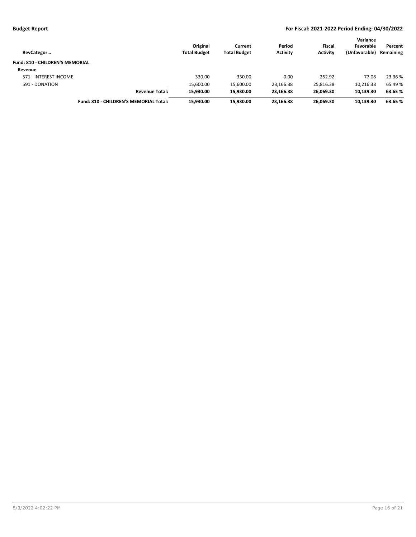| RevCategor                             |                                        | Original<br><b>Total Budget</b> | Current<br><b>Total Budget</b> | Period<br><b>Activity</b> | <b>Fiscal</b><br><b>Activity</b> | Variance<br>Favorable<br>(Unfavorable) | Percent<br>Remaining |
|----------------------------------------|----------------------------------------|---------------------------------|--------------------------------|---------------------------|----------------------------------|----------------------------------------|----------------------|
| <b>Fund: 810 - CHILDREN'S MEMORIAL</b> |                                        |                                 |                                |                           |                                  |                                        |                      |
| Revenue                                |                                        |                                 |                                |                           |                                  |                                        |                      |
| 571 - INTEREST INCOME                  |                                        | 330.00                          | 330.00                         | 0.00                      | 252.92                           | $-77.08$                               | 23.36 %              |
| 591 - DONATION                         |                                        | 15.600.00                       | 15,600.00                      | 23,166.38                 | 25,816.38                        | 10,216.38                              | 65.49 %              |
|                                        | <b>Revenue Total:</b>                  | 15.930.00                       | 15.930.00                      | 23,166.38                 | 26.069.30                        | 10,139.30                              | 63.65 %              |
|                                        | Fund: 810 - CHILDREN'S MEMORIAL Total: | 15.930.00                       | 15.930.00                      | 23.166.38                 | 26.069.30                        | 10.139.30                              | 63.65%               |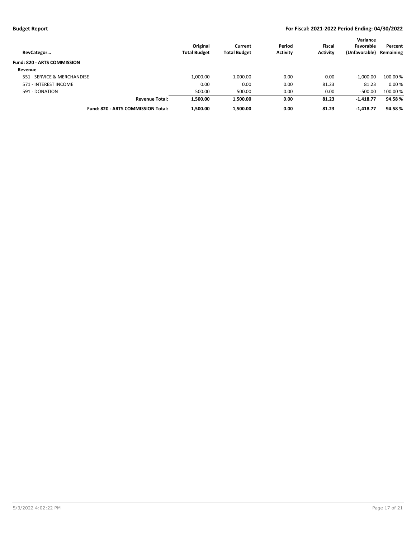| RevCategor                         | Original<br><b>Total Budget</b> | Current<br><b>Total Budget</b> | Period<br><b>Activity</b> | <b>Fiscal</b><br><b>Activity</b> | Variance<br>Favorable<br>(Unfavorable) | Percent<br>Remaining |
|------------------------------------|---------------------------------|--------------------------------|---------------------------|----------------------------------|----------------------------------------|----------------------|
| <b>Fund: 820 - ARTS COMMISSION</b> |                                 |                                |                           |                                  |                                        |                      |
| Revenue                            |                                 |                                |                           |                                  |                                        |                      |
| 551 - SERVICE & MERCHANDISE        | 1,000.00                        | 1,000.00                       | 0.00                      | 0.00                             | $-1.000.00$                            | 100.00 %             |
| 571 - INTEREST INCOME              | 0.00                            | 0.00                           | 0.00                      | 81.23                            | 81.23                                  | 0.00%                |
| 591 - DONATION                     | 500.00                          | 500.00                         | 0.00                      | 0.00                             | $-500.00$                              | 100.00%              |
| <b>Revenue Total:</b>              | 1,500.00                        | 1,500.00                       | 0.00                      | 81.23                            | $-1,418.77$                            | 94.58%               |
| Fund: 820 - ARTS COMMISSION Total: | 1,500.00                        | 1,500.00                       | 0.00                      | 81.23                            | $-1,418.77$                            | 94.58%               |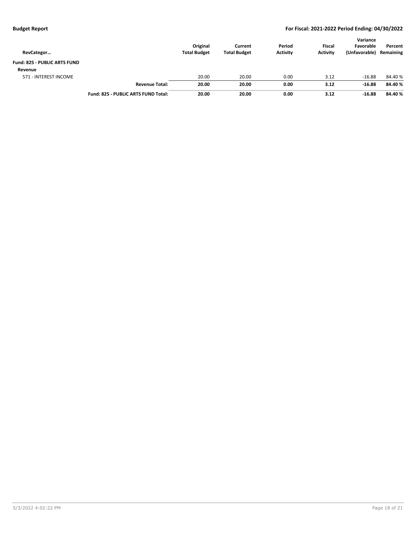| RevCategor                   |                                     | Original<br><b>Total Budget</b> | Current<br><b>Total Budget</b> | Period<br><b>Activity</b> | <b>Fiscal</b><br><b>Activity</b> | Variance<br>Favorable<br>(Unfavorable) | Percent<br>Remaining |
|------------------------------|-------------------------------------|---------------------------------|--------------------------------|---------------------------|----------------------------------|----------------------------------------|----------------------|
| Fund: 825 - PUBLIC ARTS FUND |                                     |                                 |                                |                           |                                  |                                        |                      |
| Revenue                      |                                     |                                 |                                |                           |                                  |                                        |                      |
| 571 - INTEREST INCOME        |                                     | 20.00                           | 20.00                          | 0.00                      | 3.12                             | $-16.88$                               | 84.40%               |
|                              | <b>Revenue Total:</b>               | 20.00                           | 20.00                          | 0.00                      | 3.12                             | $-16.88$                               | 84.40%               |
|                              | Fund: 825 - PUBLIC ARTS FUND Total: | 20.00                           | 20.00                          | 0.00                      | 3.12                             | $-16.88$                               | 84.40%               |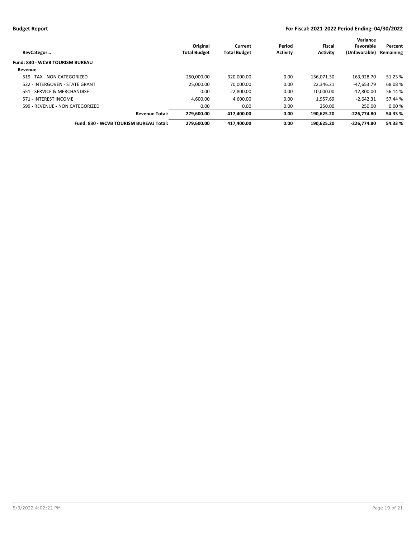| RevCategor                             | Original<br><b>Total Budget</b> | Current<br><b>Total Budget</b> | Period<br><b>Activity</b> | Fiscal<br><b>Activity</b> | Variance<br>Favorable<br>(Unfavorable) | Percent<br>Remaining |
|----------------------------------------|---------------------------------|--------------------------------|---------------------------|---------------------------|----------------------------------------|----------------------|
| <b>Fund: 830 - WCVB TOURISM BUREAU</b> |                                 |                                |                           |                           |                                        |                      |
| Revenue                                |                                 |                                |                           |                           |                                        |                      |
| 519 - TAX - NON CATEGORIZED            | 250.000.00                      | 320,000.00                     | 0.00                      | 156.071.30                | $-163.928.70$                          | 51.23 %              |
| 522 - INTERGOVEN - STATE GRANT         | 25.000.00                       | 70.000.00                      | 0.00                      | 22.346.21                 | $-47.653.79$                           | 68.08%               |
| 551 - SERVICE & MERCHANDISE            | 0.00                            | 22.800.00                      | 0.00                      | 10.000.00                 | $-12.800.00$                           | 56.14%               |
| 571 - INTEREST INCOME                  | 4.600.00                        | 4.600.00                       | 0.00                      | 1.957.69                  | $-2.642.31$                            | 57.44 %              |
| 599 - REVENUE - NON CATEGORIZED        | 0.00                            | 0.00                           | 0.00                      | 250.00                    | 250.00                                 | 0.00%                |
| <b>Revenue Total:</b>                  | 279.600.00                      | 417,400.00                     | 0.00                      | 190.625.20                | $-226.774.80$                          | 54.33 %              |
| Fund: 830 - WCVB TOURISM BUREAU Total: | 279.600.00                      | 417.400.00                     | 0.00                      | 190.625.20                | $-226.774.80$                          | 54.33 %              |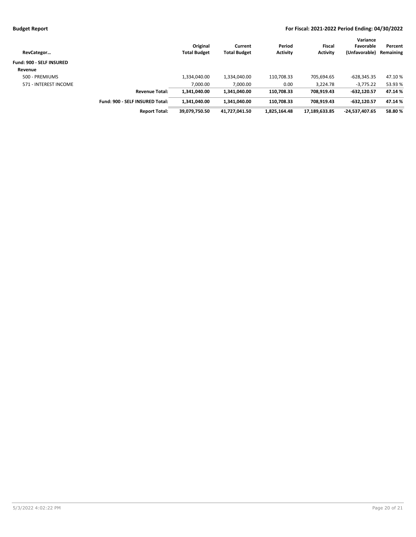| RevCategor               |                                 | Original<br><b>Total Budget</b> | Current<br><b>Total Budget</b> | Period<br><b>Activity</b> | Fiscal<br><b>Activity</b> | Variance<br>Favorable<br>(Unfavorable) | Percent<br>Remaining |
|--------------------------|---------------------------------|---------------------------------|--------------------------------|---------------------------|---------------------------|----------------------------------------|----------------------|
| Fund: 900 - SELF INSURED |                                 |                                 |                                |                           |                           |                                        |                      |
| Revenue                  |                                 |                                 |                                |                           |                           |                                        |                      |
| 500 - PREMIUMS           |                                 | 1,334,040.00                    | 1,334,040.00                   | 110,708.33                | 705,694.65                | $-628,345.35$                          | 47.10%               |
| 571 - INTEREST INCOME    |                                 | 7,000.00                        | 7,000.00                       | 0.00                      | 3.224.78                  | $-3.775.22$                            | 53.93 %              |
|                          | <b>Revenue Total:</b>           | 1.341.040.00                    | 1.341.040.00                   | 110.708.33                | 708,919.43                | $-632.120.57$                          | 47.14%               |
|                          | Fund: 900 - SELF INSURED Total: | 1,341,040.00                    | 1.341.040.00                   | 110,708.33                | 708.919.43                | $-632.120.57$                          | 47.14%               |
|                          | <b>Report Total:</b>            | 39,079,750.50                   | 41,727,041.50                  | 1,825,164.48              | 17,189,633.85             | -24,537,407.65                         | 58.80%               |